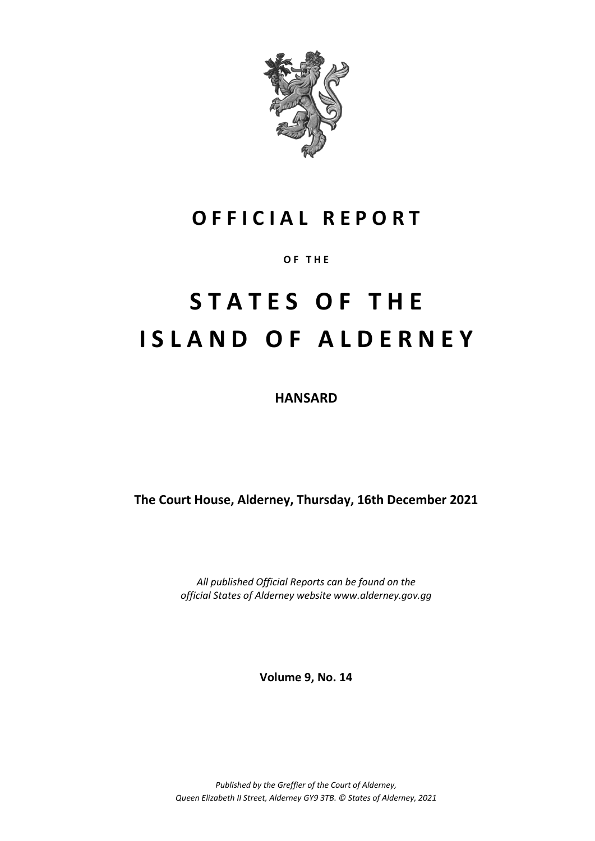

### **O F F I C I A L R E P O R T**

**O F T H E**

# **S T A T E S O F T H E I S L A N D O F A L D E R N E Y**

**HANSARD**

**The Court House, Alderney, Thursday, 16th December 2021**

*All published Official Reports can be found on the official States of Alderney website www.alderney.gov.gg*

**Volume 9, No. 14**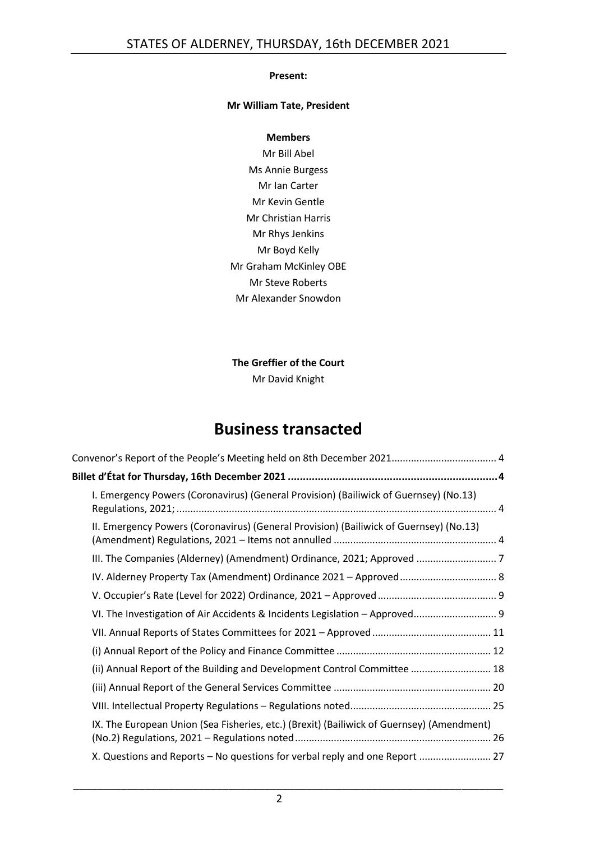#### **Present:**

#### **Mr William Tate, President**

#### **Members**

Mr Bill Abel Ms Annie Burgess Mr Ian Carter Mr Kevin Gentle Mr Christian Harris Mr Rhys Jenkins Mr Boyd Kelly Mr Graham McKinley OBE Mr Steve Roberts Mr Alexander Snowdon

**The Greffier of the Court**

Mr David Knight

### **Business transacted**

| Convenor's Report of the People's Meeting held on 8th December 2021 4                     |
|-------------------------------------------------------------------------------------------|
|                                                                                           |
| I. Emergency Powers (Coronavirus) (General Provision) (Bailiwick of Guernsey) (No.13)     |
| II. Emergency Powers (Coronavirus) (General Provision) (Bailiwick of Guernsey) (No.13)    |
| III. The Companies (Alderney) (Amendment) Ordinance, 2021; Approved  7                    |
| IV. Alderney Property Tax (Amendment) Ordinance 2021 - Approved 8                         |
|                                                                                           |
| VI. The Investigation of Air Accidents & Incidents Legislation - Approved 9               |
|                                                                                           |
|                                                                                           |
| (ii) Annual Report of the Building and Development Control Committee  18                  |
|                                                                                           |
|                                                                                           |
| IX. The European Union (Sea Fisheries, etc.) (Brexit) (Bailiwick of Guernsey) (Amendment) |
| X. Questions and Reports - No questions for verbal reply and one Report  27               |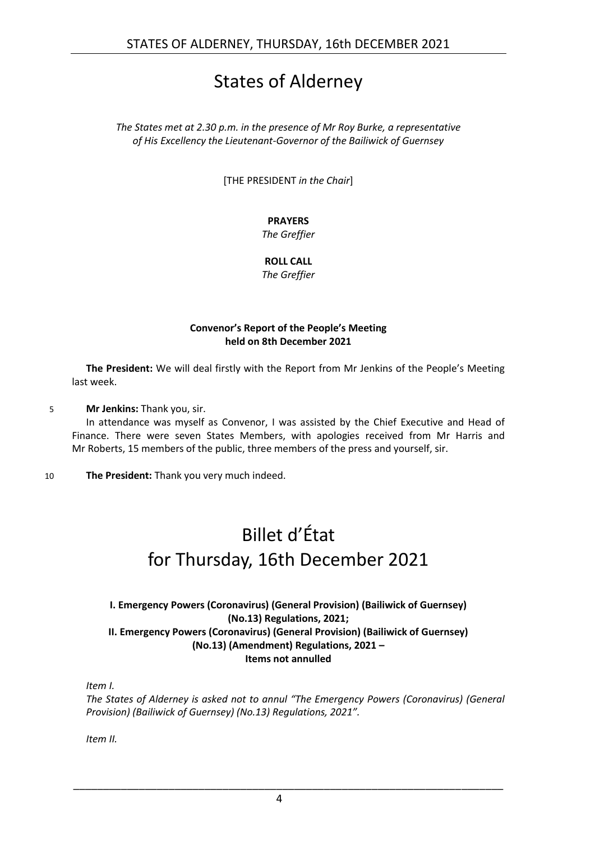### States of Alderney

*The States met at 2.30 p.m. in the presence of Mr Roy Burke, a representative of His Excellency the Lieutenant-Governor of the Bailiwick of Guernsey*

[THE PRESIDENT *in the Chair*]

#### **PRAYERS**

*The Greffier*

#### **ROLL CALL**

*The Greffier*

#### **Convenor's Report of the People's Meeting held on 8th December 2021**

<span id="page-3-0"></span>**The President:** We will deal firstly with the Report from Mr Jenkins of the People's Meeting last week.

5 **Mr Jenkins:** Thank you, sir.

In attendance was myself as Convenor, I was assisted by the Chief Executive and Head of Finance. There were seven States Members, with apologies received from Mr Harris and Mr Roberts, 15 members of the public, three members of the press and yourself, sir.

<span id="page-3-1"></span>10 **The President:** Thank you very much indeed.

## Billet d'État for Thursday, 16th December 2021

#### <span id="page-3-3"></span><span id="page-3-2"></span>**I. Emergency Powers (Coronavirus) (General Provision) (Bailiwick of Guernsey) (No.13) Regulations, 2021; II. Emergency Powers (Coronavirus) (General Provision) (Bailiwick of Guernsey) (No.13) (Amendment) Regulations, 2021 – Items not annulled**

*Item I.*

*The States of Alderney is asked not to annul "The Emergency Powers (Coronavirus) (General Provision) (Bailiwick of Guernsey) (No.13) Regulations, 2021".*

*Item II.*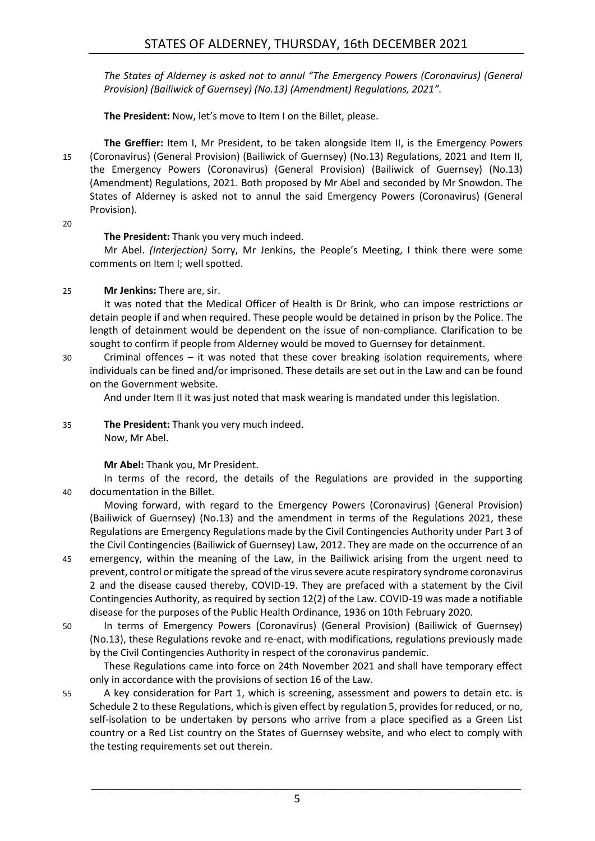*The States of Alderney is asked not to annul "The Emergency Powers (Coronavirus) (General Provision) (Bailiwick of Guernsey) (No.13) (Amendment) Regulations, 2021".*

**The President:** Now, let's move to Item I on the Billet, please.

**The Greffier:** Item I, Mr President, to be taken alongside Item II, is the Emergency Powers 15 (Coronavirus) (General Provision) (Bailiwick of Guernsey) (No.13) Regulations, 2021 and Item II, the Emergency Powers (Coronavirus) (General Provision) (Bailiwick of Guernsey) (No.13) (Amendment) Regulations, 2021. Both proposed by Mr Abel and seconded by Mr Snowdon. The States of Alderney is asked not to annul the said Emergency Powers (Coronavirus) (General Provision).

20

#### **The President:** Thank you very much indeed.

Mr Abel. *(Interjection)* Sorry, Mr Jenkins, the People's Meeting, I think there were some comments on Item I; well spotted.

#### 25 **Mr Jenkins:** There are, sir.

It was noted that the Medical Officer of Health is Dr Brink, who can impose restrictions or detain people if and when required. These people would be detained in prison by the Police. The length of detainment would be dependent on the issue of non-compliance. Clarification to be sought to confirm if people from Alderney would be moved to Guernsey for detainment.

30 Criminal offences – it was noted that these cover breaking isolation requirements, where individuals can be fined and/or imprisoned. These details are set out in the Law and can be found on the Government website.

And under Item II it was just noted that mask wearing is mandated under this legislation.

35 **The President:** Thank you very much indeed. Now, Mr Abel.

**Mr Abel:** Thank you, Mr President.

In terms of the record, the details of the Regulations are provided in the supporting 40 documentation in the Billet.

Moving forward, with regard to the Emergency Powers (Coronavirus) (General Provision) (Bailiwick of Guernsey) (No.13) and the amendment in terms of the Regulations 2021, these Regulations are Emergency Regulations made by the Civil Contingencies Authority under Part 3 of the Civil Contingencies (Bailiwick of Guernsey) Law, 2012. They are made on the occurrence of an

45 emergency, within the meaning of the Law, in the Bailiwick arising from the urgent need to prevent, control or mitigate the spread of the virus severe acute respiratory syndrome coronavirus 2 and the disease caused thereby, COVID-19. They are prefaced with a statement by the Civil Contingencies Authority, as required by section 12(2) of the Law. COVID-19 was made a notifiable disease for the purposes of the Public Health Ordinance, 1936 on 10th February 2020.

50 In terms of Emergency Powers (Coronavirus) (General Provision) (Bailiwick of Guernsey) (No.13), these Regulations revoke and re-enact, with modifications, regulations previously made by the Civil Contingencies Authority in respect of the coronavirus pandemic.

These Regulations came into force on 24th November 2021 and shall have temporary effect only in accordance with the provisions of section 16 of the Law.

55 A key consideration for Part 1, which is screening, assessment and powers to detain etc. is Schedule 2 to these Regulations, which is given effect by regulation 5, provides for reduced, or no, self-isolation to be undertaken by persons who arrive from a place specified as a Green List country or a Red List country on the States of Guernsey website, and who elect to comply with the testing requirements set out therein.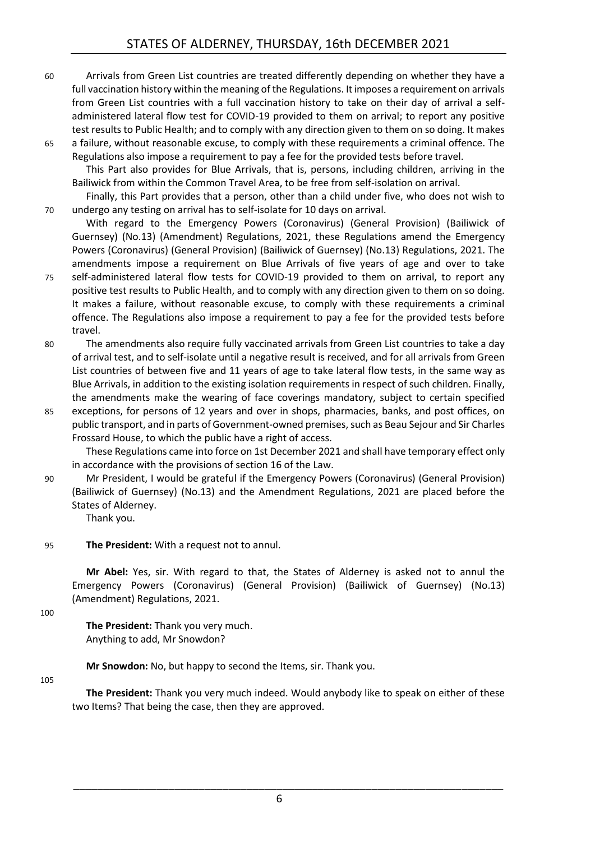- 60 Arrivals from Green List countries are treated differently depending on whether they have a full vaccination history within the meaning of the Regulations. It imposes a requirement on arrivals from Green List countries with a full vaccination history to take on their day of arrival a selfadministered lateral flow test for COVID-19 provided to them on arrival; to report any positive test results to Public Health; and to comply with any direction given to them on so doing. It makes
- 65 a failure, without reasonable excuse, to comply with these requirements a criminal offence. The Regulations also impose a requirement to pay a fee for the provided tests before travel.

This Part also provides for Blue Arrivals, that is, persons, including children, arriving in the Bailiwick from within the Common Travel Area, to be free from self-isolation on arrival.

Finally, this Part provides that a person, other than a child under five, who does not wish to 70 undergo any testing on arrival has to self-isolate for 10 days on arrival.

With regard to the Emergency Powers (Coronavirus) (General Provision) (Bailiwick of Guernsey) (No.13) (Amendment) Regulations, 2021, these Regulations amend the Emergency Powers (Coronavirus) (General Provision) (Bailiwick of Guernsey) (No.13) Regulations, 2021. The amendments impose a requirement on Blue Arrivals of five years of age and over to take

75 self-administered lateral flow tests for COVID-19 provided to them on arrival, to report any positive test results to Public Health, and to comply with any direction given to them on so doing. It makes a failure, without reasonable excuse, to comply with these requirements a criminal offence. The Regulations also impose a requirement to pay a fee for the provided tests before travel.

- 80 The amendments also require fully vaccinated arrivals from Green List countries to take a day of arrival test, and to self-isolate until a negative result is received, and for all arrivals from Green List countries of between five and 11 years of age to take lateral flow tests, in the same way as Blue Arrivals, in addition to the existing isolation requirements in respect of such children. Finally, the amendments make the wearing of face coverings mandatory, subject to certain specified
- 85 exceptions, for persons of 12 years and over in shops, pharmacies, banks, and post offices, on public transport, and in parts of Government-owned premises, such as Beau Sejour and Sir Charles Frossard House, to which the public have a right of access.

These Regulations came into force on 1st December 2021 and shall have temporary effect only in accordance with the provisions of section 16 of the Law.

90 Mr President, I would be grateful if the Emergency Powers (Coronavirus) (General Provision) (Bailiwick of Guernsey) (No.13) and the Amendment Regulations, 2021 are placed before the States of Alderney.

Thank you.

#### 95 **The President:** With a request not to annul.

**Mr Abel:** Yes, sir. With regard to that, the States of Alderney is asked not to annul the Emergency Powers (Coronavirus) (General Provision) (Bailiwick of Guernsey) (No.13) (Amendment) Regulations, 2021.

 $100$ 

**The President:** Thank you very much. Anything to add, Mr Snowdon?

**Mr Snowdon:** No, but happy to second the Items, sir. Thank you.

#### 105

**The President:** Thank you very much indeed. Would anybody like to speak on either of these two Items? That being the case, then they are approved.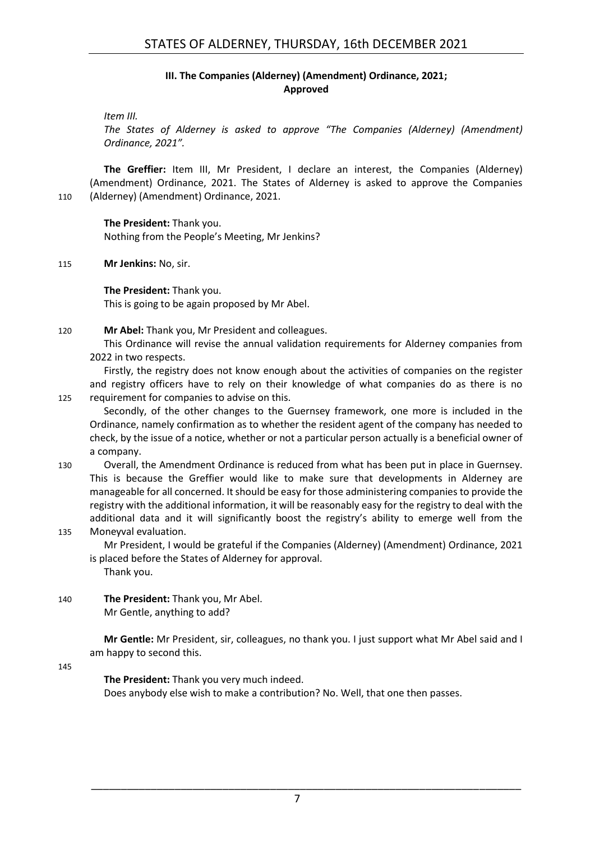#### **III. The Companies (Alderney) (Amendment) Ordinance, 2021; Approved**

#### <span id="page-6-0"></span>*Item III.*

*The States of Alderney is asked to approve "The Companies (Alderney) (Amendment) Ordinance, 2021".*

**The Greffier:** Item III, Mr President, I declare an interest, the Companies (Alderney) (Amendment) Ordinance, 2021. The States of Alderney is asked to approve the Companies 110 (Alderney) (Amendment) Ordinance, 2021.

**The President:** Thank you.

Nothing from the People's Meeting, Mr Jenkins?

115 **Mr Jenkins:** No, sir.

**The President:** Thank you. This is going to be again proposed by Mr Abel.

120 **Mr Abel:** Thank you, Mr President and colleagues.

This Ordinance will revise the annual validation requirements for Alderney companies from 2022 in two respects.

Firstly, the registry does not know enough about the activities of companies on the register and registry officers have to rely on their knowledge of what companies do as there is no 125 requirement for companies to advise on this.

- Secondly, of the other changes to the Guernsey framework, one more is included in the Ordinance, namely confirmation as to whether the resident agent of the company has needed to check, by the issue of a notice, whether or not a particular person actually is a beneficial owner of a company.
- 130 Overall, the Amendment Ordinance is reduced from what has been put in place in Guernsey. This is because the Greffier would like to make sure that developments in Alderney are manageable for all concerned. It should be easy for those administering companies to provide the registry with the additional information, it will be reasonably easy for the registry to deal with the additional data and it will significantly boost the registry's ability to emerge well from the 135 Moneyval evaluation.

Mr President, I would be grateful if the Companies (Alderney) (Amendment) Ordinance, 2021 is placed before the States of Alderney for approval.

Thank you.

140 **The President:** Thank you, Mr Abel. Mr Gentle, anything to add?

> **Mr Gentle:** Mr President, sir, colleagues, no thank you. I just support what Mr Abel said and I am happy to second this.

145

**The President:** Thank you very much indeed.

Does anybody else wish to make a contribution? No. Well, that one then passes.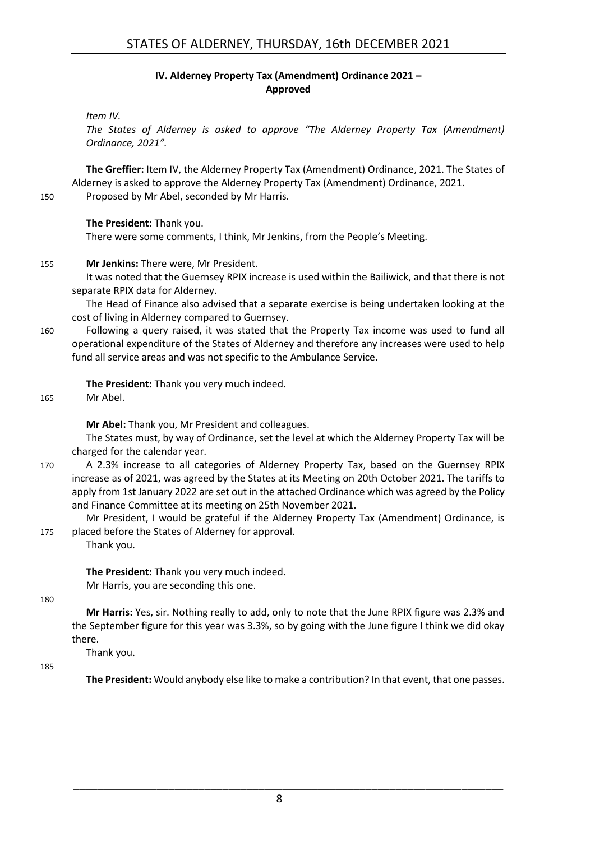#### **IV. Alderney Property Tax (Amendment) Ordinance 2021 – Approved**

<span id="page-7-0"></span>*Item IV.*

*The States of Alderney is asked to approve "The Alderney Property Tax (Amendment) Ordinance, 2021".*

**The Greffier:** Item IV, the Alderney Property Tax (Amendment) Ordinance, 2021. The States of Alderney is asked to approve the Alderney Property Tax (Amendment) Ordinance, 2021.

150 Proposed by Mr Abel, seconded by Mr Harris.

#### **The President:** Thank you.

There were some comments, I think, Mr Jenkins, from the People's Meeting.

#### 155 **Mr Jenkins:** There were, Mr President.

It was noted that the Guernsey RPIX increase is used within the Bailiwick, and that there is not separate RPIX data for Alderney.

The Head of Finance also advised that a separate exercise is being undertaken looking at the cost of living in Alderney compared to Guernsey.

160 Following a query raised, it was stated that the Property Tax income was used to fund all operational expenditure of the States of Alderney and therefore any increases were used to help fund all service areas and was not specific to the Ambulance Service.

**The President:** Thank you very much indeed.

165 Mr Abel.

**Mr Abel:** Thank you, Mr President and colleagues.

The States must, by way of Ordinance, set the level at which the Alderney Property Tax will be charged for the calendar year.

170 A 2.3% increase to all categories of Alderney Property Tax, based on the Guernsey RPIX increase as of 2021, was agreed by the States at its Meeting on 20th October 2021. The tariffs to apply from 1st January 2022 are set out in the attached Ordinance which was agreed by the Policy and Finance Committee at its meeting on 25th November 2021.

Mr President, I would be grateful if the Alderney Property Tax (Amendment) Ordinance, is 175 placed before the States of Alderney for approval.

Thank you.

**The President:** Thank you very much indeed. Mr Harris, you are seconding this one.

180

**Mr Harris:** Yes, sir. Nothing really to add, only to note that the June RPIX figure was 2.3% and the September figure for this year was 3.3%, so by going with the June figure I think we did okay there.

Thank you.

185

**The President:** Would anybody else like to make a contribution? In that event, that one passes.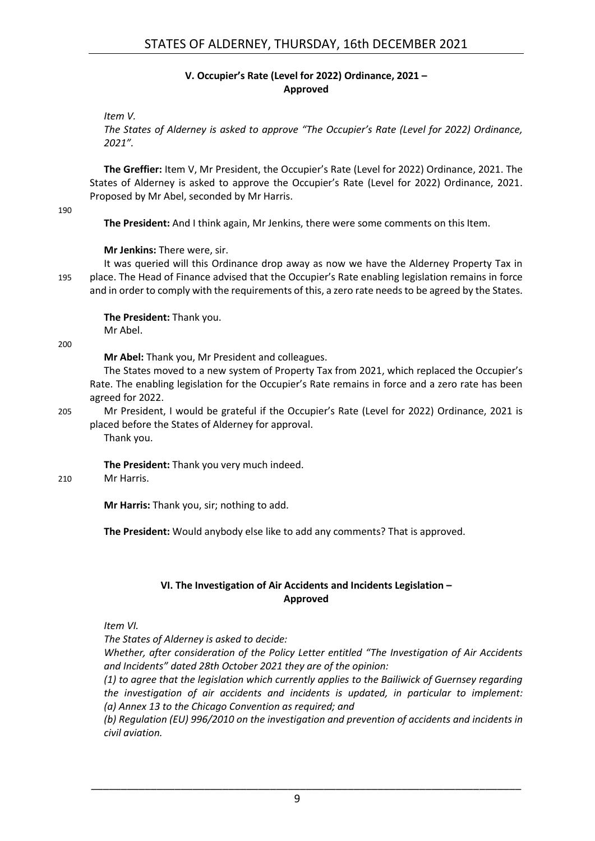#### **V. Occupier's Rate (Level for 2022) Ordinance, 2021 – Approved**

<span id="page-8-0"></span>*Item V.*

*The States of Alderney is asked to approve "The Occupier's Rate (Level for 2022) Ordinance, 2021".*

**The Greffier:** Item V, Mr President, the Occupier's Rate (Level for 2022) Ordinance, 2021. The States of Alderney is asked to approve the Occupier's Rate (Level for 2022) Ordinance, 2021. Proposed by Mr Abel, seconded by Mr Harris.

190

**The President:** And I think again, Mr Jenkins, there were some comments on this Item.

#### **Mr Jenkins:** There were, sir.

It was queried will this Ordinance drop away as now we have the Alderney Property Tax in 195 place. The Head of Finance advised that the Occupier's Rate enabling legislation remains in force and in order to comply with the requirements of this, a zero rate needs to be agreed by the States.

**The President:** Thank you.

200

**Mr Abel:** Thank you, Mr President and colleagues.

The States moved to a new system of Property Tax from 2021, which replaced the Occupier's Rate. The enabling legislation for the Occupier's Rate remains in force and a zero rate has been agreed for 2022.

205 Mr President, I would be grateful if the Occupier's Rate (Level for 2022) Ordinance, 2021 is placed before the States of Alderney for approval.

Thank you.

Mr Abel.

**The President:** Thank you very much indeed.

#### 210 Mr Harris.

**Mr Harris:** Thank you, sir; nothing to add.

**The President:** Would anybody else like to add any comments? That is approved.

#### **VI. The Investigation of Air Accidents and Incidents Legislation – Approved**

#### <span id="page-8-1"></span>*Item VI.*

*The States of Alderney is asked to decide:*

*Whether, after consideration of the Policy Letter entitled "The Investigation of Air Accidents and Incidents" dated 28th October 2021 they are of the opinion:*

*(1) to agree that the legislation which currently applies to the Bailiwick of Guernsey regarding the investigation of air accidents and incidents is updated, in particular to implement: (a) Annex 13 to the Chicago Convention as required; and* 

*(b) Regulation (EU) 996/2010 on the investigation and prevention of accidents and incidents in civil aviation.*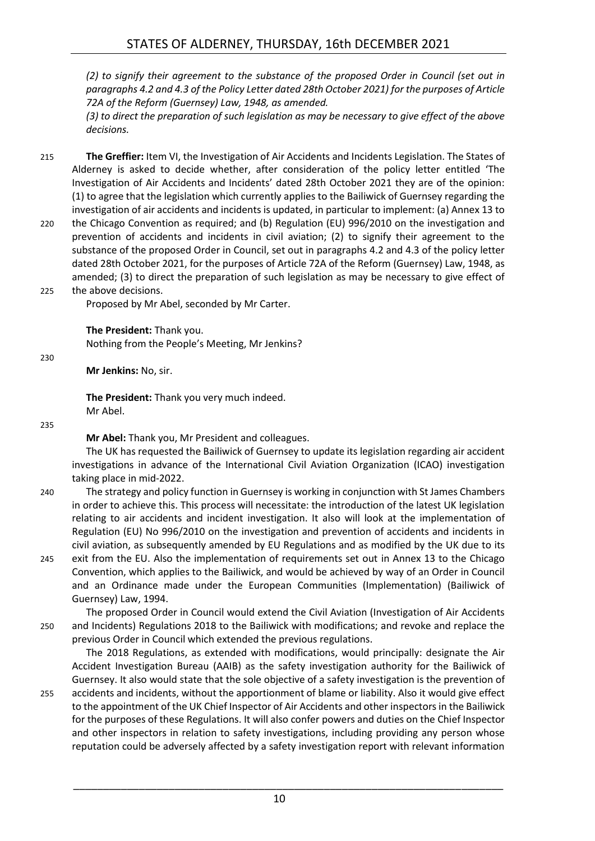*(2) to signify their agreement to the substance of the proposed Order in Council (set out in paragraphs 4.2 and 4.3 of the Policy Letter dated 28th October 2021) for the purposes of Article 72A of the Reform (Guernsey) Law, 1948, as amended.*

*(3) to direct the preparation of such legislation as may be necessary to give effect of the above decisions.*

- 215 **The Greffier:** Item VI, the Investigation of Air Accidents and Incidents Legislation. The States of Alderney is asked to decide whether, after consideration of the policy letter entitled 'The Investigation of Air Accidents and Incidents' dated 28th October 2021 they are of the opinion: (1) to agree that the legislation which currently applies to the Bailiwick of Guernsey regarding the investigation of air accidents and incidents is updated, in particular to implement: (a) Annex 13 to
- 220 the Chicago Convention as required; and (b) Regulation (EU) 996/2010 on the investigation and prevention of accidents and incidents in civil aviation; (2) to signify their agreement to the substance of the proposed Order in Council, set out in paragraphs 4.2 and 4.3 of the policy letter dated 28th October 2021, for the purposes of Article 72A of the Reform (Guernsey) Law, 1948, as amended; (3) to direct the preparation of such legislation as may be necessary to give effect of
- 225 the above decisions.

Proposed by Mr Abel, seconded by Mr Carter.

**The President:** Thank you. Nothing from the People's Meeting, Mr Jenkins?

230

**Mr Jenkins:** No, sir.

**The President:** Thank you very much indeed. Mr Abel.

235

**Mr Abel:** Thank you, Mr President and colleagues.

The UK has requested the Bailiwick of Guernsey to update its legislation regarding air accident investigations in advance of the International Civil Aviation Organization (ICAO) investigation taking place in mid-2022.

- 240 The strategy and policy function in Guernsey is working in conjunction with St James Chambers in order to achieve this. This process will necessitate: the introduction of the latest UK legislation relating to air accidents and incident investigation. It also will look at the implementation of Regulation (EU) No 996/2010 on the investigation and prevention of accidents and incidents in civil aviation, as subsequently amended by EU Regulations and as modified by the UK due to its
- 245 exit from the EU. Also the implementation of requirements set out in Annex 13 to the Chicago Convention, which applies to the Bailiwick, and would be achieved by way of an Order in Council and an Ordinance made under the European Communities (Implementation) (Bailiwick of Guernsey) Law, 1994.

The proposed Order in Council would extend the Civil Aviation (Investigation of Air Accidents 250 and Incidents) Regulations 2018 to the Bailiwick with modifications; and revoke and replace the previous Order in Council which extended the previous regulations.

The 2018 Regulations, as extended with modifications, would principally: designate the Air Accident Investigation Bureau (AAIB) as the safety investigation authority for the Bailiwick of Guernsey. It also would state that the sole objective of a safety investigation is the prevention of

255 accidents and incidents, without the apportionment of blame or liability. Also it would give effect to the appointment of the UK Chief Inspector of Air Accidents and other inspectors in the Bailiwick for the purposes of these Regulations. It will also confer powers and duties on the Chief Inspector and other inspectors in relation to safety investigations, including providing any person whose reputation could be adversely affected by a safety investigation report with relevant information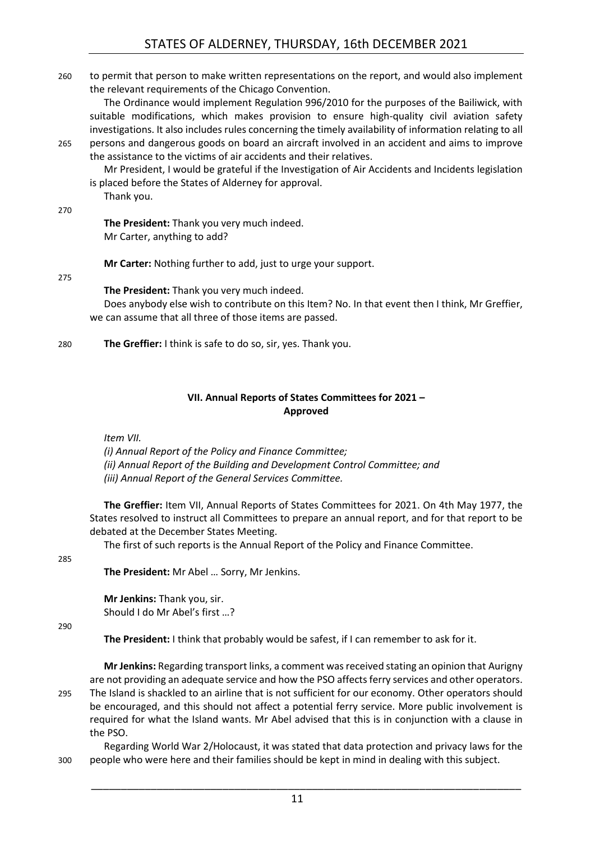260 to permit that person to make written representations on the report, and would also implement the relevant requirements of the Chicago Convention.

The Ordinance would implement Regulation 996/2010 for the purposes of the Bailiwick, with suitable modifications, which makes provision to ensure high-quality civil aviation safety investigations. It also includes rules concerning the timely availability of information relating to all 265 persons and dangerous goods on board an aircraft involved in an accident and aims to improve

the assistance to the victims of air accidents and their relatives.

Mr President, I would be grateful if the Investigation of Air Accidents and Incidents legislation is placed before the States of Alderney for approval.

Thank you.

270

**The President:** Thank you very much indeed. Mr Carter, anything to add?

**Mr Carter:** Nothing further to add, just to urge your support.

#### 275

**The President:** Thank you very much indeed.

Does anybody else wish to contribute on this Item? No. In that event then I think, Mr Greffier, we can assume that all three of those items are passed.

280 **The Greffier:** I think is safe to do so, sir, yes. Thank you.

#### **VII. Annual Reports of States Committees for 2021 – Approved**

<span id="page-10-0"></span>*Item VII.* 

*(i) Annual Report of the Policy and Finance Committee; (ii) Annual Report of the Building and Development Control Committee; and (iii) Annual Report of the General Services Committee.*

**The Greffier:** Item VII, Annual Reports of States Committees for 2021. On 4th May 1977, the States resolved to instruct all Committees to prepare an annual report, and for that report to be debated at the December States Meeting.

The first of such reports is the Annual Report of the Policy and Finance Committee.

285

**The President:** Mr Abel … Sorry, Mr Jenkins.

**Mr Jenkins:** Thank you, sir. Should I do Mr Abel's first …?

290

**The President:** I think that probably would be safest, if I can remember to ask for it.

**Mr Jenkins:** Regarding transport links, a comment was received stating an opinion that Aurigny are not providing an adequate service and how the PSO affects ferry services and other operators. 295 The Island is shackled to an airline that is not sufficient for our economy. Other operators should be encouraged, and this should not affect a potential ferry service. More public involvement is required for what the Island wants. Mr Abel advised that this is in conjunction with a clause in the PSO.

Regarding World War 2/Holocaust, it was stated that data protection and privacy laws for the 300 people who were here and their families should be kept in mind in dealing with this subject.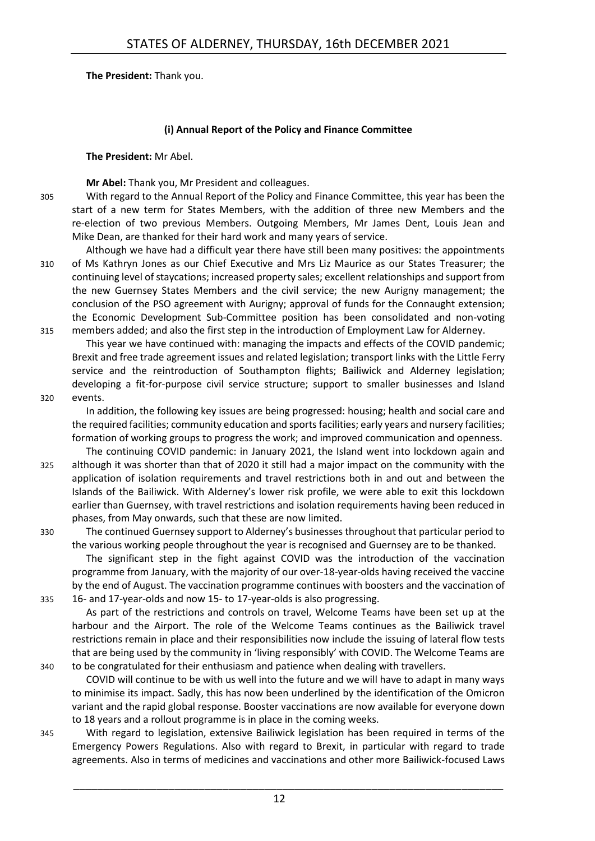#### **The President:** Thank you.

#### **(i) Annual Report of the Policy and Finance Committee**

#### <span id="page-11-0"></span>**The President:** Mr Abel.

**Mr Abel:** Thank you, Mr President and colleagues.

- 305 With regard to the Annual Report of the Policy and Finance Committee, this year has been the start of a new term for States Members, with the addition of three new Members and the re-election of two previous Members. Outgoing Members, Mr James Dent, Louis Jean and Mike Dean, are thanked for their hard work and many years of service.
- Although we have had a difficult year there have still been many positives: the appointments 310 of Ms Kathryn Jones as our Chief Executive and Mrs Liz Maurice as our States Treasurer; the continuing level of staycations; increased property sales; excellent relationships and support from the new Guernsey States Members and the civil service; the new Aurigny management; the conclusion of the PSO agreement with Aurigny; approval of funds for the Connaught extension; the Economic Development Sub-Committee position has been consolidated and non-voting 315 members added; and also the first step in the introduction of Employment Law for Alderney.
- This year we have continued with: managing the impacts and effects of the COVID pandemic; Brexit and free trade agreement issues and related legislation; transport links with the Little Ferry service and the reintroduction of Southampton flights; Bailiwick and Alderney legislation; developing a fit-for-purpose civil service structure; support to smaller businesses and Island 320 events.
- 

In addition, the following key issues are being progressed: housing; health and social care and the required facilities; community education and sports facilities; early years and nursery facilities; formation of working groups to progress the work; and improved communication and openness.

- The continuing COVID pandemic: in January 2021, the Island went into lockdown again and 325 although it was shorter than that of 2020 it still had a major impact on the community with the application of isolation requirements and travel restrictions both in and out and between the Islands of the Bailiwick. With Alderney's lower risk profile, we were able to exit this lockdown earlier than Guernsey, with travel restrictions and isolation requirements having been reduced in phases, from May onwards, such that these are now limited.
- 330 The continued Guernsey support to Alderney's businesses throughout that particular period to the various working people throughout the year is recognised and Guernsey are to be thanked.

The significant step in the fight against COVID was the introduction of the vaccination programme from January, with the majority of our over-18-year-olds having received the vaccine by the end of August. The vaccination programme continues with boosters and the vaccination of 335 16- and 17-year-olds and now 15- to 17-year-olds is also progressing.

As part of the restrictions and controls on travel, Welcome Teams have been set up at the harbour and the Airport. The role of the Welcome Teams continues as the Bailiwick travel restrictions remain in place and their responsibilities now include the issuing of lateral flow tests that are being used by the community in 'living responsibly' with COVID. The Welcome Teams are 340 to be congratulated for their enthusiasm and patience when dealing with travellers.

COVID will continue to be with us well into the future and we will have to adapt in many ways to minimise its impact. Sadly, this has now been underlined by the identification of the Omicron variant and the rapid global response. Booster vaccinations are now available for everyone down to 18 years and a rollout programme is in place in the coming weeks.

345 With regard to legislation, extensive Bailiwick legislation has been required in terms of the Emergency Powers Regulations. Also with regard to Brexit, in particular with regard to trade agreements. Also in terms of medicines and vaccinations and other more Bailiwick-focused Laws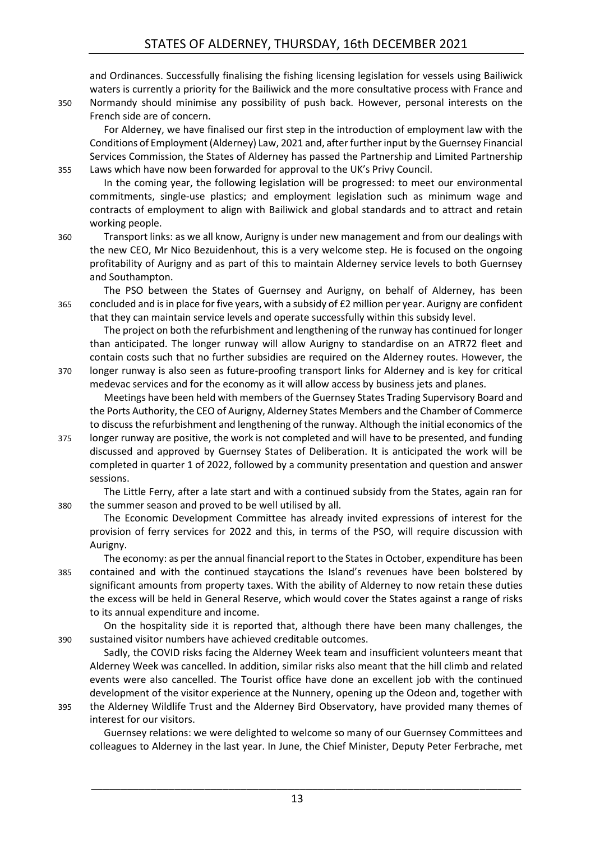and Ordinances. Successfully finalising the fishing licensing legislation for vessels using Bailiwick waters is currently a priority for the Bailiwick and the more consultative process with France and 350 Normandy should minimise any possibility of push back. However, personal interests on the

French side are of concern.

For Alderney, we have finalised our first step in the introduction of employment law with the Conditions of Employment (Alderney) Law, 2021 and, after further input by the Guernsey Financial Services Commission, the States of Alderney has passed the Partnership and Limited Partnership 355 Laws which have now been forwarded for approval to the UK's Privy Council.

In the coming year, the following legislation will be progressed: to meet our environmental commitments, single-use plastics; and employment legislation such as minimum wage and contracts of employment to align with Bailiwick and global standards and to attract and retain working people.

360 Transport links: as we all know, Aurigny is under new management and from our dealings with the new CEO, Mr Nico Bezuidenhout, this is a very welcome step. He is focused on the ongoing profitability of Aurigny and as part of this to maintain Alderney service levels to both Guernsey and Southampton.

The PSO between the States of Guernsey and Aurigny, on behalf of Alderney, has been 365 concluded and is in place for five years, with a subsidy of £2 million per year. Aurigny are confident that they can maintain service levels and operate successfully within this subsidy level.

The project on both the refurbishment and lengthening of the runway has continued for longer than anticipated. The longer runway will allow Aurigny to standardise on an ATR72 fleet and contain costs such that no further subsidies are required on the Alderney routes. However, the 370 longer runway is also seen as future-proofing transport links for Alderney and is key for critical medevac services and for the economy as it will allow access by business jets and planes.

Meetings have been held with members of the Guernsey States Trading Supervisory Board and the Ports Authority, the CEO of Aurigny, Alderney States Members and the Chamber of Commerce to discuss the refurbishment and lengthening of the runway. Although the initial economics of the

375 longer runway are positive, the work is not completed and will have to be presented, and funding discussed and approved by Guernsey States of Deliberation. It is anticipated the work will be completed in quarter 1 of 2022, followed by a community presentation and question and answer sessions.

The Little Ferry, after a late start and with a continued subsidy from the States, again ran for 380 the summer season and proved to be well utilised by all.

The Economic Development Committee has already invited expressions of interest for the provision of ferry services for 2022 and this, in terms of the PSO, will require discussion with Aurigny.

The economy: as per the annual financial report to the States in October, expenditure has been 385 contained and with the continued staycations the Island's revenues have been bolstered by significant amounts from property taxes. With the ability of Alderney to now retain these duties the excess will be held in General Reserve, which would cover the States against a range of risks to its annual expenditure and income.

On the hospitality side it is reported that, although there have been many challenges, the 390 sustained visitor numbers have achieved creditable outcomes.

Sadly, the COVID risks facing the Alderney Week team and insufficient volunteers meant that Alderney Week was cancelled. In addition, similar risks also meant that the hill climb and related events were also cancelled. The Tourist office have done an excellent job with the continued development of the visitor experience at the Nunnery, opening up the Odeon and, together with 395 the Alderney Wildlife Trust and the Alderney Bird Observatory, have provided many themes of

interest for our visitors.

Guernsey relations: we were delighted to welcome so many of our Guernsey Committees and colleagues to Alderney in the last year. In June, the Chief Minister, Deputy Peter Ferbrache, met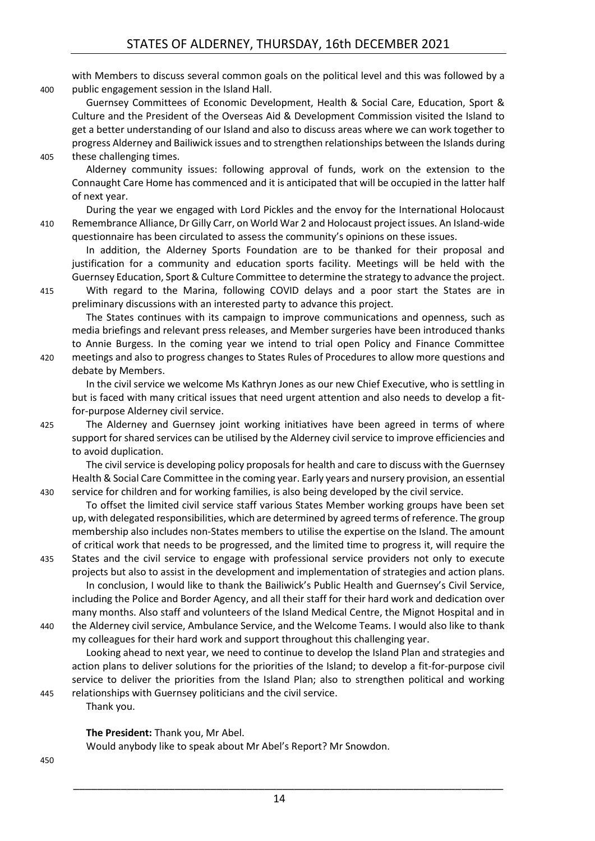with Members to discuss several common goals on the political level and this was followed by a 400 public engagement session in the Island Hall.

Guernsey Committees of Economic Development, Health & Social Care, Education, Sport & Culture and the President of the Overseas Aid & Development Commission visited the Island to get a better understanding of our Island and also to discuss areas where we can work together to progress Alderney and Bailiwick issues and to strengthen relationships between the Islands during 405 these challenging times.

Alderney community issues: following approval of funds, work on the extension to the Connaught Care Home has commenced and it is anticipated that will be occupied in the latter half of next year.

During the year we engaged with Lord Pickles and the envoy for the International Holocaust 410 Remembrance Alliance, Dr Gilly Carr, on World War 2 and Holocaust project issues. An Island-wide questionnaire has been circulated to assess the community's opinions on these issues.

In addition, the Alderney Sports Foundation are to be thanked for their proposal and justification for a community and education sports facility. Meetings will be held with the Guernsey Education, Sport & Culture Committee to determine the strategy to advance the project.

415 With regard to the Marina, following COVID delays and a poor start the States are in preliminary discussions with an interested party to advance this project.

The States continues with its campaign to improve communications and openness, such as media briefings and relevant press releases, and Member surgeries have been introduced thanks to Annie Burgess. In the coming year we intend to trial open Policy and Finance Committee 420 meetings and also to progress changes to States Rules of Procedures to allow more questions and

debate by Members. In the civil service we welcome Ms Kathryn Jones as our new Chief Executive, who is settling in but is faced with many critical issues that need urgent attention and also needs to develop a fitfor-purpose Alderney civil service.

425 The Alderney and Guernsey joint working initiatives have been agreed in terms of where support for shared services can be utilised by the Alderney civil service to improve efficiencies and to avoid duplication.

The civil service is developing policy proposals for health and care to discuss with the Guernsey Health & Social Care Committee in the coming year. Early years and nursery provision, an essential 430 service for children and for working families, is also being developed by the civil service.

To offset the limited civil service staff various States Member working groups have been set up, with delegated responsibilities, which are determined by agreed terms of reference. The group membership also includes non-States members to utilise the expertise on the Island. The amount of critical work that needs to be progressed, and the limited time to progress it, will require the 435 States and the civil service to engage with professional service providers not only to execute

projects but also to assist in the development and implementation of strategies and action plans. In conclusion, I would like to thank the Bailiwick's Public Health and Guernsey's Civil Service, including the Police and Border Agency, and all their staff for their hard work and dedication over many months. Also staff and volunteers of the Island Medical Centre, the Mignot Hospital and in 440 the Alderney civil service, Ambulance Service, and the Welcome Teams. I would also like to thank my colleagues for their hard work and support throughout this challenging year.

Looking ahead to next year, we need to continue to develop the Island Plan and strategies and action plans to deliver solutions for the priorities of the Island; to develop a fit-for-purpose civil service to deliver the priorities from the Island Plan; also to strengthen political and working 445 relationships with Guernsey politicians and the civil service.

Thank you.

**The President:** Thank you, Mr Abel.

Would anybody like to speak about Mr Abel's Report? Mr Snowdon.

450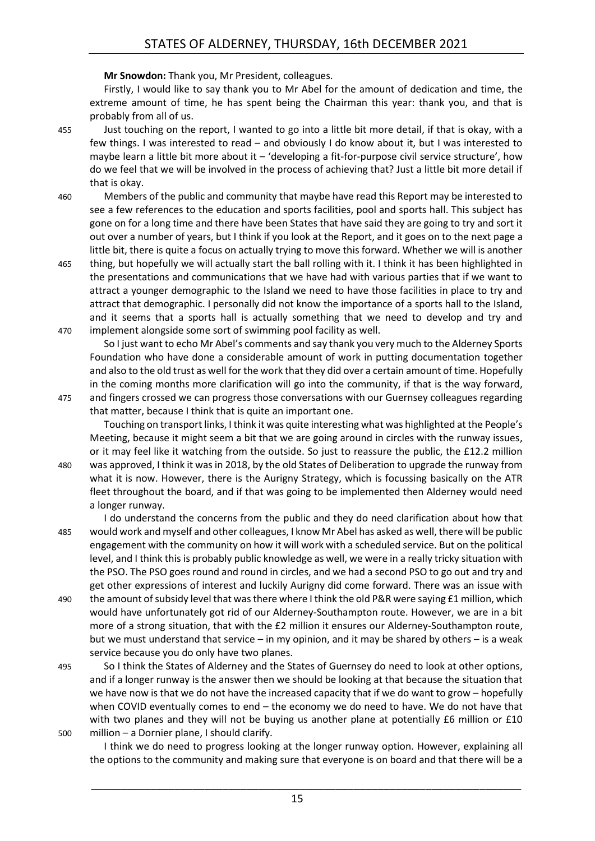**Mr Snowdon:** Thank you, Mr President, colleagues.

Firstly, I would like to say thank you to Mr Abel for the amount of dedication and time, the extreme amount of time, he has spent being the Chairman this year: thank you, and that is probably from all of us.

455 Just touching on the report, I wanted to go into a little bit more detail, if that is okay, with a few things. I was interested to read – and obviously I do know about it, but I was interested to maybe learn a little bit more about it – 'developing a fit-for-purpose civil service structure', how do we feel that we will be involved in the process of achieving that? Just a little bit more detail if that is okay.

460 Members of the public and community that maybe have read this Report may be interested to see a few references to the education and sports facilities, pool and sports hall. This subject has gone on for a long time and there have been States that have said they are going to try and sort it out over a number of years, but I think if you look at the Report, and it goes on to the next page a little bit, there is quite a focus on actually trying to move this forward. Whether we will is another

465 thing, but hopefully we will actually start the ball rolling with it. I think it has been highlighted in the presentations and communications that we have had with various parties that if we want to attract a younger demographic to the Island we need to have those facilities in place to try and attract that demographic. I personally did not know the importance of a sports hall to the Island, and it seems that a sports hall is actually something that we need to develop and try and 470 implement alongside some sort of swimming pool facility as well.

So I just want to echo Mr Abel's comments and say thank you very much to the Alderney Sports Foundation who have done a considerable amount of work in putting documentation together and also to the old trust as well for the work that they did over a certain amount of time. Hopefully in the coming months more clarification will go into the community, if that is the way forward, 475 and fingers crossed we can progress those conversations with our Guernsey colleagues regarding

that matter, because I think that is quite an important one.

Touching on transport links, I think it was quite interesting what was highlighted at the People's Meeting, because it might seem a bit that we are going around in circles with the runway issues, or it may feel like it watching from the outside. So just to reassure the public, the £12.2 million 480 was approved, I think it was in 2018, by the old States of Deliberation to upgrade the runway from what it is now. However, there is the Aurigny Strategy, which is focussing basically on the ATR fleet throughout the board, and if that was going to be implemented then Alderney would need a longer runway.

I do understand the concerns from the public and they do need clarification about how that 485 would work and myself and other colleagues, I know Mr Abel has asked as well, there will be public engagement with the community on how it will work with a scheduled service. But on the political level, and I think this is probably public knowledge as well, we were in a really tricky situation with the PSO. The PSO goes round and round in circles, and we had a second PSO to go out and try and get other expressions of interest and luckily Aurigny did come forward. There was an issue with 490 the amount of subsidy level that was there where I think the old P&R were saying £1 million, which would have unfortunately got rid of our Alderney-Southampton route. However, we are in a bit more of a strong situation, that with the £2 million it ensures our Alderney-Southampton route, but we must understand that service – in my opinion, and it may be shared by others – is a weak service because you do only have two planes.

495 So I think the States of Alderney and the States of Guernsey do need to look at other options, and if a longer runway is the answer then we should be looking at that because the situation that we have now is that we do not have the increased capacity that if we do want to grow – hopefully when COVID eventually comes to end – the economy we do need to have. We do not have that with two planes and they will not be buying us another plane at potentially £6 million or £10 500 million – a Dornier plane, I should clarify.

I think we do need to progress looking at the longer runway option. However, explaining all the options to the community and making sure that everyone is on board and that there will be a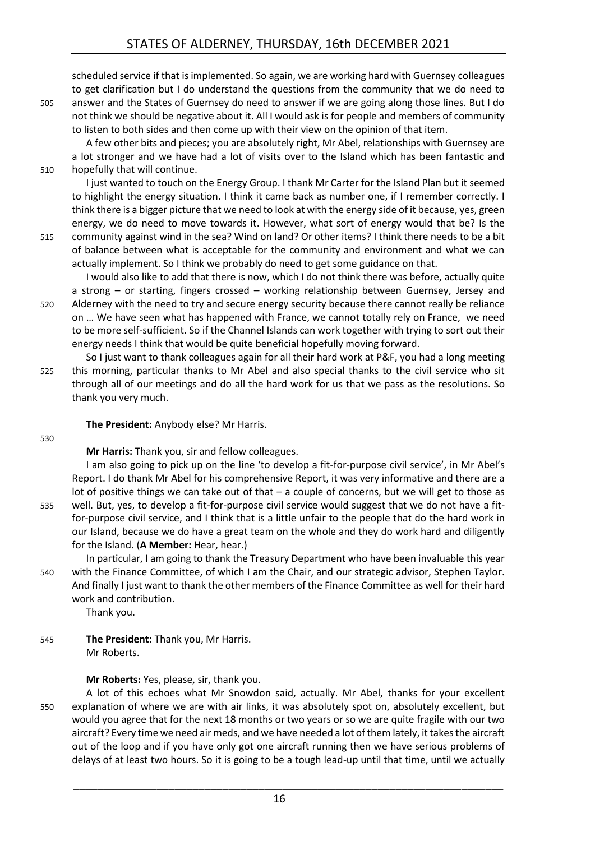scheduled service if that is implemented. So again, we are working hard with Guernsey colleagues to get clarification but I do understand the questions from the community that we do need to 505 answer and the States of Guernsey do need to answer if we are going along those lines. But I do not think we should be negative about it. All I would ask is for people and members of community to listen to both sides and then come up with their view on the opinion of that item.

A few other bits and pieces; you are absolutely right, Mr Abel, relationships with Guernsey are a lot stronger and we have had a lot of visits over to the Island which has been fantastic and 510 hopefully that will continue.

I just wanted to touch on the Energy Group. I thank Mr Carter for the Island Plan but it seemed to highlight the energy situation. I think it came back as number one, if I remember correctly. I think there is a bigger picture that we need to look at with the energy side of it because, yes, green energy, we do need to move towards it. However, what sort of energy would that be? Is the 515 community against wind in the sea? Wind on land? Or other items? I think there needs to be a bit of balance between what is acceptable for the community and environment and what we can

actually implement. So I think we probably do need to get some guidance on that.

I would also like to add that there is now, which I do not think there was before, actually quite a strong – or starting, fingers crossed – working relationship between Guernsey, Jersey and 520 Alderney with the need to try and secure energy security because there cannot really be reliance on … We have seen what has happened with France, we cannot totally rely on France, we need to be more self-sufficient. So if the Channel Islands can work together with trying to sort out their energy needs I think that would be quite beneficial hopefully moving forward.

So I just want to thank colleagues again for all their hard work at P&F, you had a long meeting 525 this morning, particular thanks to Mr Abel and also special thanks to the civil service who sit through all of our meetings and do all the hard work for us that we pass as the resolutions. So thank you very much.

**The President:** Anybody else? Mr Harris.

530

**Mr Harris:** Thank you, sir and fellow colleagues.

I am also going to pick up on the line 'to develop a fit-for-purpose civil service', in Mr Abel's Report. I do thank Mr Abel for his comprehensive Report, it was very informative and there are a lot of positive things we can take out of that – a couple of concerns, but we will get to those as

535 well. But, yes, to develop a fit-for-purpose civil service would suggest that we do not have a fitfor-purpose civil service, and I think that is a little unfair to the people that do the hard work in our Island, because we do have a great team on the whole and they do work hard and diligently for the Island. (**A Member:** Hear, hear.)

In particular, I am going to thank the Treasury Department who have been invaluable this year 540 with the Finance Committee, of which I am the Chair, and our strategic advisor, Stephen Taylor. And finally I just want to thank the other members of the Finance Committee as well for their hard work and contribution.

Thank you.

545 **The President:** Thank you, Mr Harris. Mr Roberts.

**Mr Roberts:** Yes, please, sir, thank you.

A lot of this echoes what Mr Snowdon said, actually. Mr Abel, thanks for your excellent 550 explanation of where we are with air links, it was absolutely spot on, absolutely excellent, but would you agree that for the next 18 months or two years or so we are quite fragile with our two aircraft? Every time we need air meds, and we have needed a lot of them lately, it takes the aircraft out of the loop and if you have only got one aircraft running then we have serious problems of delays of at least two hours. So it is going to be a tough lead-up until that time, until we actually

16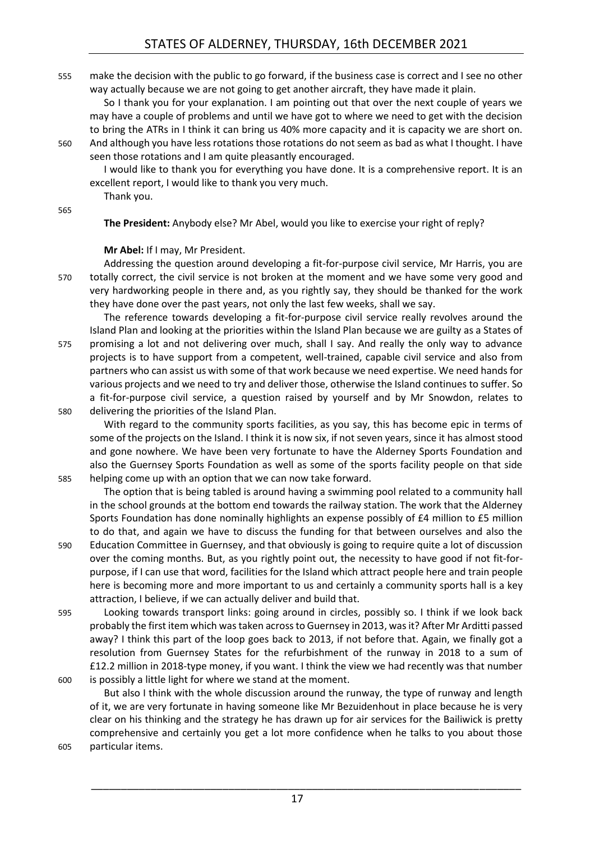555 make the decision with the public to go forward, if the business case is correct and I see no other way actually because we are not going to get another aircraft, they have made it plain.

So I thank you for your explanation. I am pointing out that over the next couple of years we may have a couple of problems and until we have got to where we need to get with the decision to bring the ATRs in I think it can bring us 40% more capacity and it is capacity we are short on.

560 And although you have less rotations those rotations do not seem as bad as what I thought. I have seen those rotations and I am quite pleasantly encouraged.

I would like to thank you for everything you have done. It is a comprehensive report. It is an excellent report, I would like to thank you very much.

Thank you.

565

**The President:** Anybody else? Mr Abel, would you like to exercise your right of reply?

#### **Mr Abel:** If I may, Mr President.

Addressing the question around developing a fit-for-purpose civil service, Mr Harris, you are 570 totally correct, the civil service is not broken at the moment and we have some very good and very hardworking people in there and, as you rightly say, they should be thanked for the work they have done over the past years, not only the last few weeks, shall we say.

The reference towards developing a fit-for-purpose civil service really revolves around the Island Plan and looking at the priorities within the Island Plan because we are guilty as a States of 575 promising a lot and not delivering over much, shall I say. And really the only way to advance projects is to have support from a competent, well-trained, capable civil service and also from partners who can assist us with some of that work because we need expertise. We need hands for various projects and we need to try and deliver those, otherwise the Island continues to suffer. So a fit-for-purpose civil service, a question raised by yourself and by Mr Snowdon, relates to 580 delivering the priorities of the Island Plan.

With regard to the community sports facilities, as you say, this has become epic in terms of some of the projects on the Island. I think it is now six, if not seven years, since it has almost stood and gone nowhere. We have been very fortunate to have the Alderney Sports Foundation and also the Guernsey Sports Foundation as well as some of the sports facility people on that side 585 helping come up with an option that we can now take forward.

The option that is being tabled is around having a swimming pool related to a community hall in the school grounds at the bottom end towards the railway station. The work that the Alderney Sports Foundation has done nominally highlights an expense possibly of £4 million to £5 million to do that, and again we have to discuss the funding for that between ourselves and also the

- 590 Education Committee in Guernsey, and that obviously is going to require quite a lot of discussion over the coming months. But, as you rightly point out, the necessity to have good if not fit-forpurpose, if I can use that word, facilities for the Island which attract people here and train people here is becoming more and more important to us and certainly a community sports hall is a key attraction, I believe, if we can actually deliver and build that.
- 595 Looking towards transport links: going around in circles, possibly so. I think if we look back probably the first item which was taken across to Guernsey in 2013, was it? After Mr Arditti passed away? I think this part of the loop goes back to 2013, if not before that. Again, we finally got a resolution from Guernsey States for the refurbishment of the runway in 2018 to a sum of £12.2 million in 2018-type money, if you want. I think the view we had recently was that number 600 is possibly a little light for where we stand at the moment.
- But also I think with the whole discussion around the runway, the type of runway and length of it, we are very fortunate in having someone like Mr Bezuidenhout in place because he is very clear on his thinking and the strategy he has drawn up for air services for the Bailiwick is pretty comprehensive and certainly you get a lot more confidence when he talks to you about those 605 particular items.
-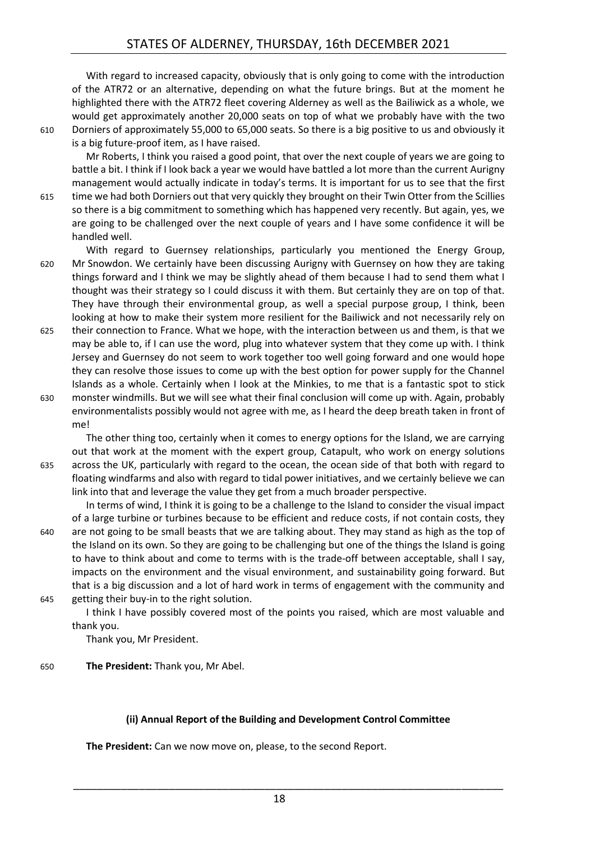With regard to increased capacity, obviously that is only going to come with the introduction of the ATR72 or an alternative, depending on what the future brings. But at the moment he highlighted there with the ATR72 fleet covering Alderney as well as the Bailiwick as a whole, we would get approximately another 20,000 seats on top of what we probably have with the two 610 Dorniers of approximately 55,000 to 65,000 seats. So there is a big positive to us and obviously it

is a big future-proof item, as I have raised. Mr Roberts, I think you raised a good point, that over the next couple of years we are going to battle a bit. I think if I look back a year we would have battled a lot more than the current Aurigny management would actually indicate in today's terms. It is important for us to see that the first

- 615 time we had both Dorniers out that very quickly they brought on their Twin Otter from the Scillies so there is a big commitment to something which has happened very recently. But again, yes, we are going to be challenged over the next couple of years and I have some confidence it will be handled well.
- With regard to Guernsey relationships, particularly you mentioned the Energy Group, 620 Mr Snowdon. We certainly have been discussing Aurigny with Guernsey on how they are taking things forward and I think we may be slightly ahead of them because I had to send them what I thought was their strategy so I could discuss it with them. But certainly they are on top of that. They have through their environmental group, as well a special purpose group, I think, been looking at how to make their system more resilient for the Bailiwick and not necessarily rely on
- 625 their connection to France. What we hope, with the interaction between us and them, is that we may be able to, if I can use the word, plug into whatever system that they come up with. I think Jersey and Guernsey do not seem to work together too well going forward and one would hope they can resolve those issues to come up with the best option for power supply for the Channel Islands as a whole. Certainly when I look at the Minkies, to me that is a fantastic spot to stick
- 630 monster windmills. But we will see what their final conclusion will come up with. Again, probably environmentalists possibly would not agree with me, as I heard the deep breath taken in front of me!

The other thing too, certainly when it comes to energy options for the Island, we are carrying out that work at the moment with the expert group, Catapult, who work on energy solutions

635 across the UK, particularly with regard to the ocean, the ocean side of that both with regard to floating windfarms and also with regard to tidal power initiatives, and we certainly believe we can link into that and leverage the value they get from a much broader perspective.

In terms of wind, I think it is going to be a challenge to the Island to consider the visual impact of a large turbine or turbines because to be efficient and reduce costs, if not contain costs, they 640 are not going to be small beasts that we are talking about. They may stand as high as the top of the Island on its own. So they are going to be challenging but one of the things the Island is going to have to think about and come to terms with is the trade-off between acceptable, shall I say, impacts on the environment and the visual environment, and sustainability going forward. But that is a big discussion and a lot of hard work in terms of engagement with the community and 645 getting their buy-in to the right solution.

I think I have possibly covered most of the points you raised, which are most valuable and thank you.

Thank you, Mr President.

650 **The President:** Thank you, Mr Abel.

#### **(ii) Annual Report of the Building and Development Control Committee**

<span id="page-17-0"></span>**The President:** Can we now move on, please, to the second Report.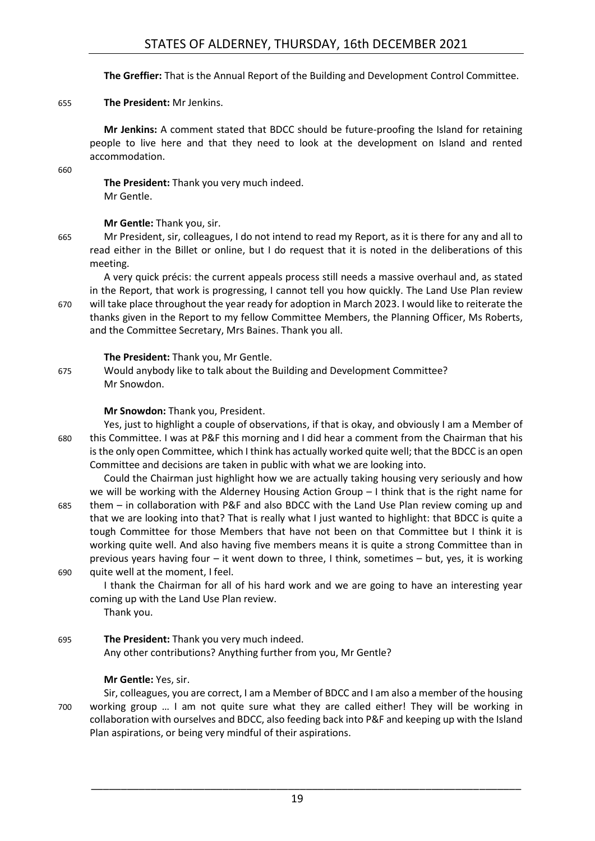**The Greffier:** That is the Annual Report of the Building and Development Control Committee.

#### 655 **The President:** Mr Jenkins.

**Mr Jenkins:** A comment stated that BDCC should be future-proofing the Island for retaining people to live here and that they need to look at the development on Island and rented accommodation.

660

**The President:** Thank you very much indeed. Mr Gentle.

**Mr Gentle:** Thank you, sir.

665 Mr President, sir, colleagues, I do not intend to read my Report, as it is there for any and all to read either in the Billet or online, but I do request that it is noted in the deliberations of this meeting.

A very quick précis: the current appeals process still needs a massive overhaul and, as stated in the Report, that work is progressing, I cannot tell you how quickly. The Land Use Plan review 670 will take place throughout the year ready for adoption in March 2023. I would like to reiterate the thanks given in the Report to my fellow Committee Members, the Planning Officer, Ms Roberts, and the Committee Secretary, Mrs Baines. Thank you all.

#### **The President:** Thank you, Mr Gentle.

675 Would anybody like to talk about the Building and Development Committee? Mr Snowdon.

#### **Mr Snowdon:** Thank you, President.

Yes, just to highlight a couple of observations, if that is okay, and obviously I am a Member of 680 this Committee. I was at P&F this morning and I did hear a comment from the Chairman that his is the only open Committee, which I think has actually worked quite well; that the BDCC is an open Committee and decisions are taken in public with what we are looking into.

Could the Chairman just highlight how we are actually taking housing very seriously and how we will be working with the Alderney Housing Action Group – I think that is the right name for 685 them – in collaboration with P&F and also BDCC with the Land Use Plan review coming up and that we are looking into that? That is really what I just wanted to highlight: that BDCC is quite a tough Committee for those Members that have not been on that Committee but I think it is working quite well. And also having five members means it is quite a strong Committee than in previous years having four – it went down to three, I think, sometimes – but, yes, it is working 690 quite well at the moment, I feel.

I thank the Chairman for all of his hard work and we are going to have an interesting year coming up with the Land Use Plan review.

Thank you.

695 **The President:** Thank you very much indeed. Any other contributions? Anything further from you, Mr Gentle?

#### **Mr Gentle:** Yes, sir.

Sir, colleagues, you are correct, I am a Member of BDCC and I am also a member of the housing 700 working group … I am not quite sure what they are called either! They will be working in collaboration with ourselves and BDCC, also feeding back into P&F and keeping up with the Island Plan aspirations, or being very mindful of their aspirations.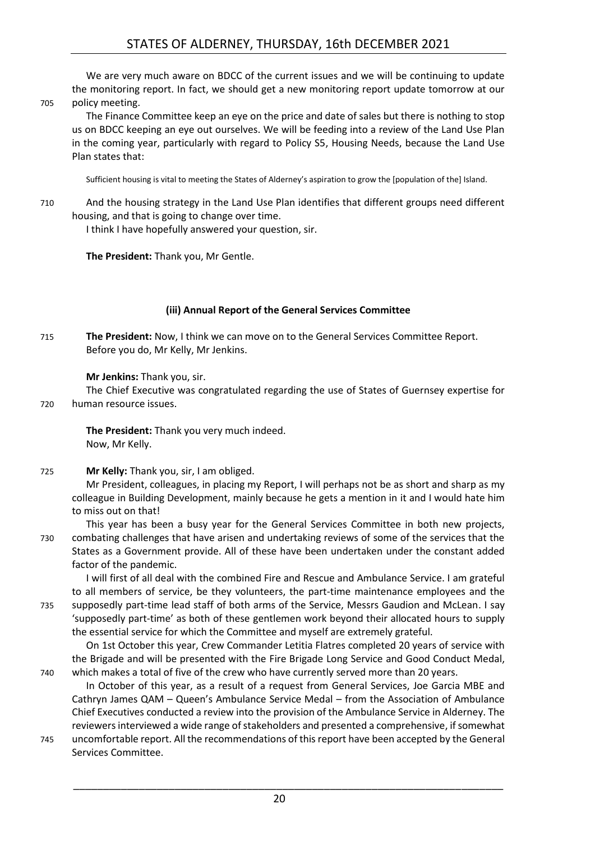We are very much aware on BDCC of the current issues and we will be continuing to update the monitoring report. In fact, we should get a new monitoring report update tomorrow at our 705 policy meeting.

The Finance Committee keep an eye on the price and date of sales but there is nothing to stop us on BDCC keeping an eye out ourselves. We will be feeding into a review of the Land Use Plan in the coming year, particularly with regard to Policy S5, Housing Needs, because the Land Use Plan states that:

Sufficient housing is vital to meeting the States of Alderney's aspiration to grow the [population of the] Island.

710 And the housing strategy in the Land Use Plan identifies that different groups need different housing, and that is going to change over time.

I think I have hopefully answered your question, sir.

**The President:** Thank you, Mr Gentle.

#### **(iii) Annual Report of the General Services Committee**

<span id="page-19-0"></span>715 **The President:** Now, I think we can move on to the General Services Committee Report. Before you do, Mr Kelly, Mr Jenkins.

**Mr Jenkins:** Thank you, sir.

The Chief Executive was congratulated regarding the use of States of Guernsey expertise for 720 human resource issues.

**The President:** Thank you very much indeed. Now, Mr Kelly.

725 **Mr Kelly:** Thank you, sir, I am obliged.

Mr President, colleagues, in placing my Report, I will perhaps not be as short and sharp as my colleague in Building Development, mainly because he gets a mention in it and I would hate him to miss out on that!

This year has been a busy year for the General Services Committee in both new projects, 730 combating challenges that have arisen and undertaking reviews of some of the services that the States as a Government provide. All of these have been undertaken under the constant added factor of the pandemic.

I will first of all deal with the combined Fire and Rescue and Ambulance Service. I am grateful to all members of service, be they volunteers, the part-time maintenance employees and the 735 supposedly part-time lead staff of both arms of the Service, Messrs Gaudion and McLean. I say 'supposedly part-time' as both of these gentlemen work beyond their allocated hours to supply the essential service for which the Committee and myself are extremely grateful.

On 1st October this year, Crew Commander Letitia Flatres completed 20 years of service with the Brigade and will be presented with the Fire Brigade Long Service and Good Conduct Medal, 740 which makes a total of five of the crew who have currently served more than 20 years.

In October of this year, as a result of a request from General Services, Joe Garcia MBE and Cathryn James QAM – Queen's Ambulance Service Medal – from the Association of Ambulance Chief Executives conducted a review into the provision of the Ambulance Service in Alderney. The reviewers interviewed a wide range of stakeholders and presented a comprehensive, if somewhat 745 uncomfortable report. All the recommendations of this report have been accepted by the General

Services Committee.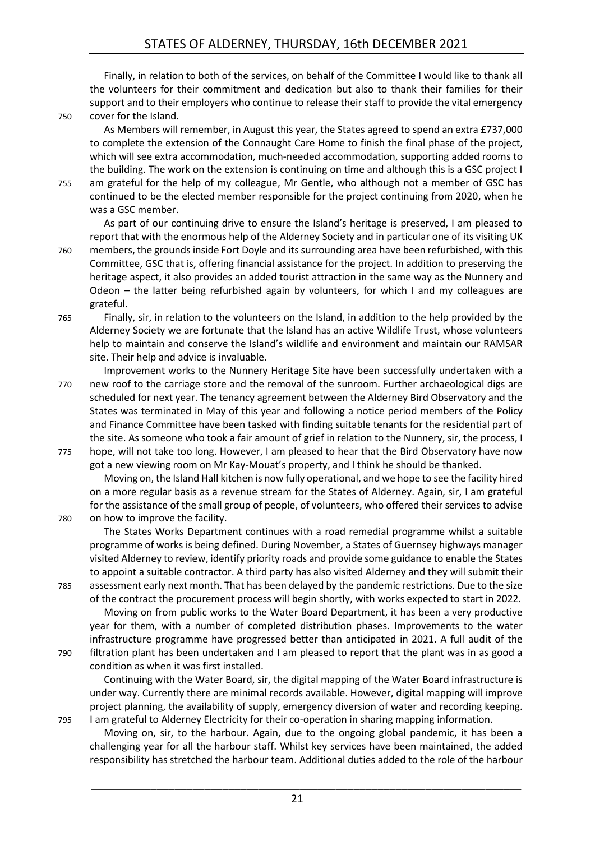Finally, in relation to both of the services, on behalf of the Committee I would like to thank all the volunteers for their commitment and dedication but also to thank their families for their support and to their employers who continue to release their staff to provide the vital emergency 750 cover for the Island.

As Members will remember, in August this year, the States agreed to spend an extra £737,000 to complete the extension of the Connaught Care Home to finish the final phase of the project, which will see extra accommodation, much-needed accommodation, supporting added rooms to the building. The work on the extension is continuing on time and although this is a GSC project I 755 am grateful for the help of my colleague, Mr Gentle, who although not a member of GSC has continued to be the elected member responsible for the project continuing from 2020, when he was a GSC member.

As part of our continuing drive to ensure the Island's heritage is preserved, I am pleased to report that with the enormous help of the Alderney Society and in particular one of its visiting UK

760 members, the grounds inside Fort Doyle and its surrounding area have been refurbished, with this Committee, GSC that is, offering financial assistance for the project. In addition to preserving the heritage aspect, it also provides an added tourist attraction in the same way as the Nunnery and Odeon – the latter being refurbished again by volunteers, for which I and my colleagues are grateful.

765 Finally, sir, in relation to the volunteers on the Island, in addition to the help provided by the Alderney Society we are fortunate that the Island has an active Wildlife Trust, whose volunteers help to maintain and conserve the Island's wildlife and environment and maintain our RAMSAR site. Their help and advice is invaluable.

Improvement works to the Nunnery Heritage Site have been successfully undertaken with a 770 new roof to the carriage store and the removal of the sunroom. Further archaeological digs are scheduled for next year. The tenancy agreement between the Alderney Bird Observatory and the States was terminated in May of this year and following a notice period members of the Policy and Finance Committee have been tasked with finding suitable tenants for the residential part of the site. As someone who took a fair amount of grief in relation to the Nunnery, sir, the process, I 775 hope, will not take too long. However, I am pleased to hear that the Bird Observatory have now

got a new viewing room on Mr Kay-Mouat's property, and I think he should be thanked. Moving on, the Island Hall kitchen is now fully operational, and we hope to see the facility hired on a more regular basis as a revenue stream for the States of Alderney. Again, sir, I am grateful for the assistance of the small group of people, of volunteers, who offered their services to advise 780 on how to improve the facility.

The States Works Department continues with a road remedial programme whilst a suitable programme of works is being defined. During November, a States of Guernsey highways manager visited Alderney to review, identify priority roads and provide some guidance to enable the States to appoint a suitable contractor. A third party has also visited Alderney and they will submit their 785 assessment early next month. That has been delayed by the pandemic restrictions. Due to the size of the contract the procurement process will begin shortly, with works expected to start in 2022.

Moving on from public works to the Water Board Department, it has been a very productive year for them, with a number of completed distribution phases. Improvements to the water infrastructure programme have progressed better than anticipated in 2021. A full audit of the 790 filtration plant has been undertaken and I am pleased to report that the plant was in as good a condition as when it was first installed.

Continuing with the Water Board, sir, the digital mapping of the Water Board infrastructure is under way. Currently there are minimal records available. However, digital mapping will improve project planning, the availability of supply, emergency diversion of water and recording keeping. 795 I am grateful to Alderney Electricity for their co-operation in sharing mapping information.

Moving on, sir, to the harbour. Again, due to the ongoing global pandemic, it has been a challenging year for all the harbour staff. Whilst key services have been maintained, the added responsibility has stretched the harbour team. Additional duties added to the role of the harbour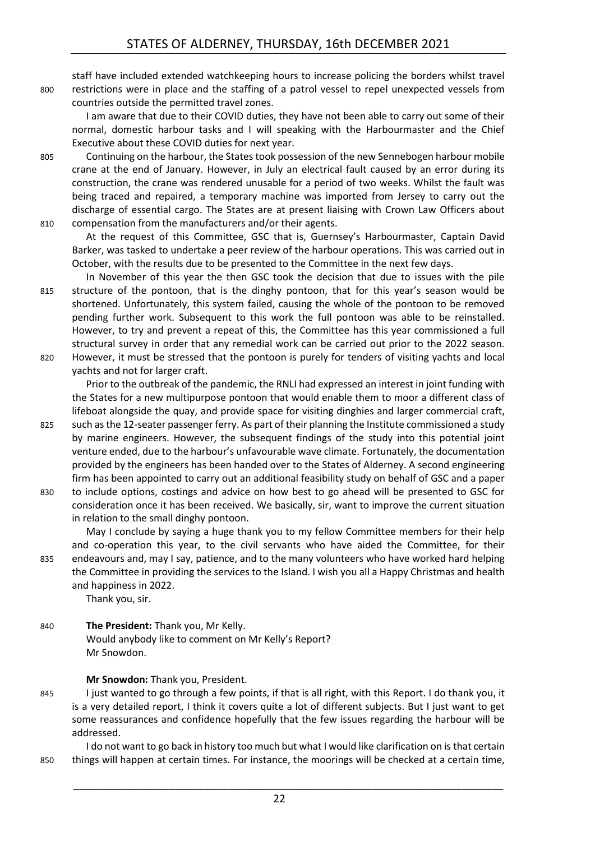staff have included extended watchkeeping hours to increase policing the borders whilst travel 800 restrictions were in place and the staffing of a patrol vessel to repel unexpected vessels from countries outside the permitted travel zones.

I am aware that due to their COVID duties, they have not been able to carry out some of their normal, domestic harbour tasks and I will speaking with the Harbourmaster and the Chief Executive about these COVID duties for next year.

805 Continuing on the harbour, the States took possession of the new Sennebogen harbour mobile crane at the end of January. However, in July an electrical fault caused by an error during its construction, the crane was rendered unusable for a period of two weeks. Whilst the fault was being traced and repaired, a temporary machine was imported from Jersey to carry out the discharge of essential cargo. The States are at present liaising with Crown Law Officers about 810 compensation from the manufacturers and/or their agents.

At the request of this Committee, GSC that is, Guernsey's Harbourmaster, Captain David Barker, was tasked to undertake a peer review of the harbour operations. This was carried out in October, with the results due to be presented to the Committee in the next few days.

In November of this year the then GSC took the decision that due to issues with the pile 815 structure of the pontoon, that is the dinghy pontoon, that for this year's season would be shortened. Unfortunately, this system failed, causing the whole of the pontoon to be removed pending further work. Subsequent to this work the full pontoon was able to be reinstalled. However, to try and prevent a repeat of this, the Committee has this year commissioned a full structural survey in order that any remedial work can be carried out prior to the 2022 season.

820 However, it must be stressed that the pontoon is purely for tenders of visiting yachts and local yachts and not for larger craft.

Prior to the outbreak of the pandemic, the RNLI had expressed an interest in joint funding with the States for a new multipurpose pontoon that would enable them to moor a different class of lifeboat alongside the quay, and provide space for visiting dinghies and larger commercial craft,

- 825 such as the 12-seater passenger ferry. As part of their planning the Institute commissioned a study by marine engineers. However, the subsequent findings of the study into this potential joint venture ended, due to the harbour's unfavourable wave climate. Fortunately, the documentation provided by the engineers has been handed over to the States of Alderney. A second engineering firm has been appointed to carry out an additional feasibility study on behalf of GSC and a paper
- 830 to include options, costings and advice on how best to go ahead will be presented to GSC for consideration once it has been received. We basically, sir, want to improve the current situation in relation to the small dinghy pontoon.

May I conclude by saying a huge thank you to my fellow Committee members for their help and co-operation this year, to the civil servants who have aided the Committee, for their 835 endeavours and, may I say, patience, and to the many volunteers who have worked hard helping the Committee in providing the services to the Island. I wish you all a Happy Christmas and health and happiness in 2022.

Thank you, sir.

840 **The President:** Thank you, Mr Kelly. Would anybody like to comment on Mr Kelly's Report? Mr Snowdon.

#### **Mr Snowdon:** Thank you, President.

845 I just wanted to go through a few points, if that is all right, with this Report. I do thank you, it is a very detailed report, I think it covers quite a lot of different subjects. But I just want to get some reassurances and confidence hopefully that the few issues regarding the harbour will be addressed.

I do not want to go back in history too much but what I would like clarification on is that certain 850 things will happen at certain times. For instance, the moorings will be checked at a certain time,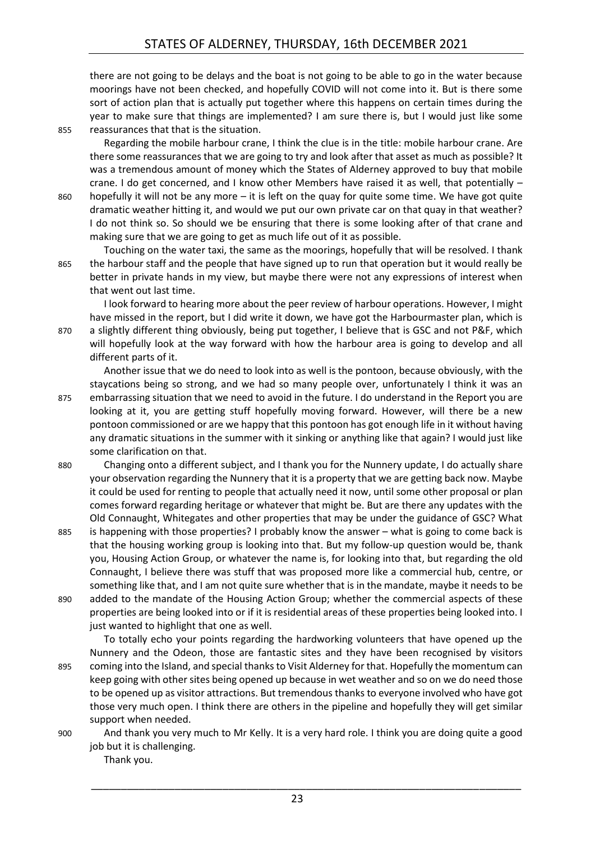there are not going to be delays and the boat is not going to be able to go in the water because moorings have not been checked, and hopefully COVID will not come into it. But is there some sort of action plan that is actually put together where this happens on certain times during the year to make sure that things are implemented? I am sure there is, but I would just like some 855 reassurances that that is the situation.

Regarding the mobile harbour crane, I think the clue is in the title: mobile harbour crane. Are there some reassurances that we are going to try and look after that asset as much as possible? It was a tremendous amount of money which the States of Alderney approved to buy that mobile crane. I do get concerned, and I know other Members have raised it as well, that potentially – 860 hopefully it will not be any more – it is left on the quay for quite some time. We have got quite dramatic weather hitting it, and would we put our own private car on that quay in that weather? I do not think so. So should we be ensuring that there is some looking after of that crane and making sure that we are going to get as much life out of it as possible.

Touching on the water taxi, the same as the moorings, hopefully that will be resolved. I thank 865 the harbour staff and the people that have signed up to run that operation but it would really be better in private hands in my view, but maybe there were not any expressions of interest when that went out last time.

I look forward to hearing more about the peer review of harbour operations. However, I might have missed in the report, but I did write it down, we have got the Harbourmaster plan, which is 870 a slightly different thing obviously, being put together, I believe that is GSC and not P&F, which will hopefully look at the way forward with how the harbour area is going to develop and all different parts of it.

Another issue that we do need to look into as well is the pontoon, because obviously, with the staycations being so strong, and we had so many people over, unfortunately I think it was an 875 embarrassing situation that we need to avoid in the future. I do understand in the Report you are looking at it, you are getting stuff hopefully moving forward. However, will there be a new pontoon commissioned or are we happy that this pontoon has got enough life in it without having any dramatic situations in the summer with it sinking or anything like that again? I would just like some clarification on that.

- 880 Changing onto a different subject, and I thank you for the Nunnery update, I do actually share your observation regarding the Nunnery that it is a property that we are getting back now. Maybe it could be used for renting to people that actually need it now, until some other proposal or plan comes forward regarding heritage or whatever that might be. But are there any updates with the Old Connaught, Whitegates and other properties that may be under the guidance of GSC? What
- 885 is happening with those properties? I probably know the answer what is going to come back is that the housing working group is looking into that. But my follow-up question would be, thank you, Housing Action Group, or whatever the name is, for looking into that, but regarding the old Connaught, I believe there was stuff that was proposed more like a commercial hub, centre, or something like that, and I am not quite sure whether that is in the mandate, maybe it needs to be
- 890 added to the mandate of the Housing Action Group; whether the commercial aspects of these properties are being looked into or if it is residential areas of these properties being looked into. I just wanted to highlight that one as well.

To totally echo your points regarding the hardworking volunteers that have opened up the Nunnery and the Odeon, those are fantastic sites and they have been recognised by visitors 895 coming into the Island, and special thanks to Visit Alderney for that. Hopefully the momentum can keep going with other sites being opened up because in wet weather and so on we do need those to be opened up as visitor attractions. But tremendous thanks to everyone involved who have got those very much open. I think there are others in the pipeline and hopefully they will get similar support when needed.

- 
- 900 And thank you very much to Mr Kelly. It is a very hard role. I think you are doing quite a good job but it is challenging.

Thank you.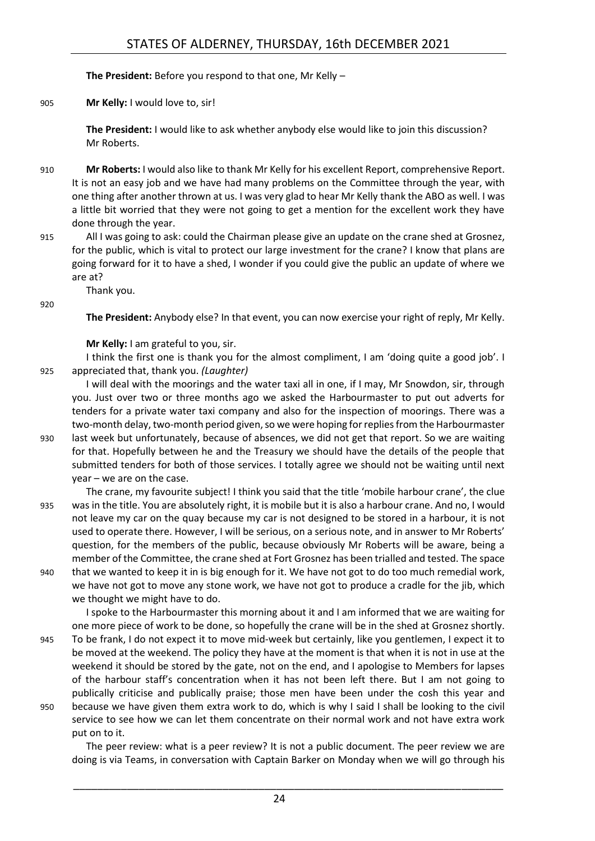**The President:** Before you respond to that one, Mr Kelly –

905 **Mr Kelly:** I would love to, sir!

**The President:** I would like to ask whether anybody else would like to join this discussion? Mr Roberts.

- 910 **Mr Roberts:** I would also like to thank Mr Kelly for his excellent Report, comprehensive Report. It is not an easy job and we have had many problems on the Committee through the year, with one thing after another thrown at us. I was very glad to hear Mr Kelly thank the ABO as well. I was a little bit worried that they were not going to get a mention for the excellent work they have done through the year.
- 915 All I was going to ask: could the Chairman please give an update on the crane shed at Grosnez, for the public, which is vital to protect our large investment for the crane? I know that plans are going forward for it to have a shed, I wonder if you could give the public an update of where we are at?

Thank you.

920

**The President:** Anybody else? In that event, you can now exercise your right of reply, Mr Kelly.

**Mr Kelly:** I am grateful to you, sir.

I think the first one is thank you for the almost compliment, I am 'doing quite a good job'. I 925 appreciated that, thank you. *(Laughter)*

I will deal with the moorings and the water taxi all in one, if I may, Mr Snowdon, sir, through you. Just over two or three months ago we asked the Harbourmaster to put out adverts for tenders for a private water taxi company and also for the inspection of moorings. There was a two-month delay, two-month period given, so we were hoping for replies from the Harbourmaster

930 last week but unfortunately, because of absences, we did not get that report. So we are waiting for that. Hopefully between he and the Treasury we should have the details of the people that submitted tenders for both of those services. I totally agree we should not be waiting until next year – we are on the case.

The crane, my favourite subject! I think you said that the title 'mobile harbour crane', the clue 935 was in the title. You are absolutely right, it is mobile but it is also a harbour crane. And no, I would not leave my car on the quay because my car is not designed to be stored in a harbour, it is not used to operate there. However, I will be serious, on a serious note, and in answer to Mr Roberts' question, for the members of the public, because obviously Mr Roberts will be aware, being a member of the Committee, the crane shed at Fort Grosnez has been trialled and tested. The space

940 that we wanted to keep it in is big enough for it. We have not got to do too much remedial work, we have not got to move any stone work, we have not got to produce a cradle for the jib, which we thought we might have to do.

I spoke to the Harbourmaster this morning about it and I am informed that we are waiting for one more piece of work to be done, so hopefully the crane will be in the shed at Grosnez shortly.

945 To be frank, I do not expect it to move mid-week but certainly, like you gentlemen, I expect it to be moved at the weekend. The policy they have at the moment is that when it is not in use at the weekend it should be stored by the gate, not on the end, and I apologise to Members for lapses of the harbour staff's concentration when it has not been left there. But I am not going to publically criticise and publically praise; those men have been under the cosh this year and 950 because we have given them extra work to do, which is why I said I shall be looking to the civil service to see how we can let them concentrate on their normal work and not have extra work put on to it.

The peer review: what is a peer review? It is not a public document. The peer review we are doing is via Teams, in conversation with Captain Barker on Monday when we will go through his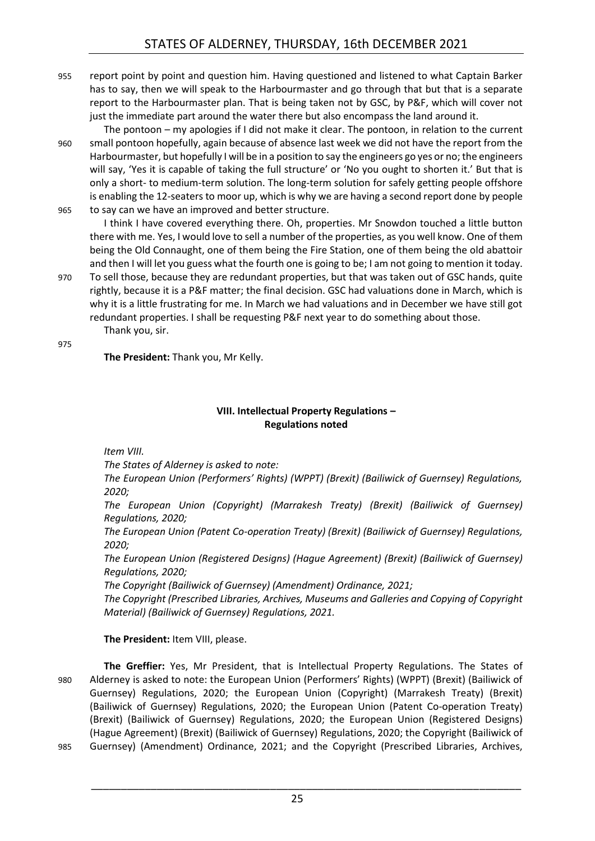- 955 report point by point and question him. Having questioned and listened to what Captain Barker has to say, then we will speak to the Harbourmaster and go through that but that is a separate report to the Harbourmaster plan. That is being taken not by GSC, by P&F, which will cover not just the immediate part around the water there but also encompass the land around it.
- The pontoon my apologies if I did not make it clear. The pontoon, in relation to the current 960 small pontoon hopefully, again because of absence last week we did not have the report from the Harbourmaster, but hopefully I will be in a position to say the engineers go yes or no; the engineers will say, 'Yes it is capable of taking the full structure' or 'No you ought to shorten it.' But that is only a short- to medium-term solution. The long-term solution for safely getting people offshore is enabling the 12-seaters to moor up, which is why we are having a second report done by people
- 965 to say can we have an improved and better structure. I think I have covered everything there. Oh, properties. Mr Snowdon touched a little button there with me. Yes, I would love to sell a number of the properties, as you well know. One of them being the Old Connaught, one of them being the Fire Station, one of them being the old abattoir and then I will let you guess what the fourth one is going to be; I am not going to mention it today.
- 970 To sell those, because they are redundant properties, but that was taken out of GSC hands, quite rightly, because it is a P&F matter; the final decision. GSC had valuations done in March, which is why it is a little frustrating for me. In March we had valuations and in December we have still got redundant properties. I shall be requesting P&F next year to do something about those. Thank you, sir.

975

**The President:** Thank you, Mr Kelly.

#### **VIII. Intellectual Property Regulations – Regulations noted**

<span id="page-24-0"></span>*Item VIII.*

*The States of Alderney is asked to note:* 

*The European Union (Performers' Rights) (WPPT) (Brexit) (Bailiwick of Guernsey) Regulations, 2020;*

*The European Union (Copyright) (Marrakesh Treaty) (Brexit) (Bailiwick of Guernsey) Regulations, 2020;*

*The European Union (Patent Co-operation Treaty) (Brexit) (Bailiwick of Guernsey) Regulations, 2020;*

*The European Union (Registered Designs) (Hague Agreement) (Brexit) (Bailiwick of Guernsey) Regulations, 2020;*

*The Copyright (Bailiwick of Guernsey) (Amendment) Ordinance, 2021;*

*The Copyright (Prescribed Libraries, Archives, Museums and Galleries and Copying of Copyright Material) (Bailiwick of Guernsey) Regulations, 2021.* 

**The President:** Item VIII, please.

**The Greffier:** Yes, Mr President, that is Intellectual Property Regulations. The States of 980 Alderney is asked to note: the European Union (Performers' Rights) (WPPT) (Brexit) (Bailiwick of Guernsey) Regulations, 2020; the European Union (Copyright) (Marrakesh Treaty) (Brexit) (Bailiwick of Guernsey) Regulations, 2020; the European Union (Patent Co-operation Treaty) (Brexit) (Bailiwick of Guernsey) Regulations, 2020; the European Union (Registered Designs) (Hague Agreement) (Brexit) (Bailiwick of Guernsey) Regulations, 2020; the Copyright (Bailiwick of 985 Guernsey) (Amendment) Ordinance, 2021; and the Copyright (Prescribed Libraries, Archives,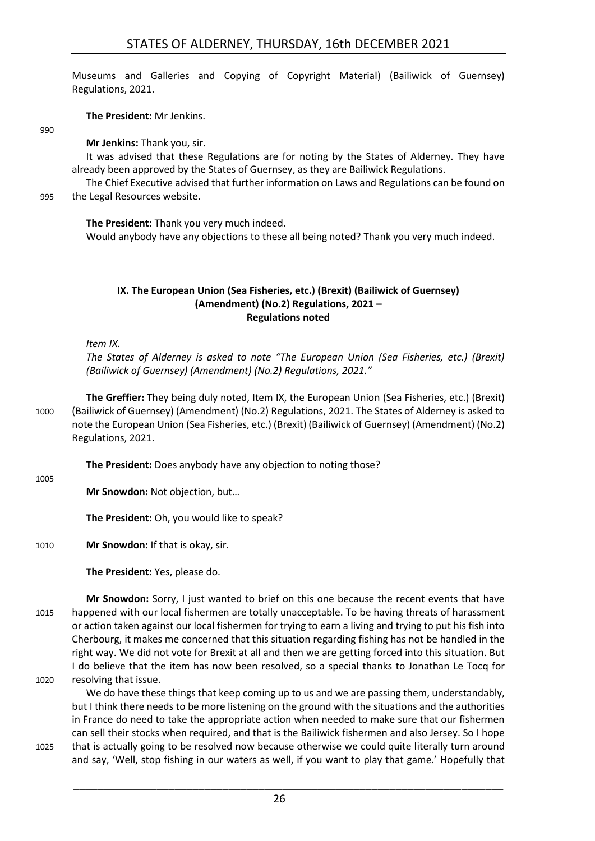Museums and Galleries and Copying of Copyright Material) (Bailiwick of Guernsey) Regulations, 2021.

**The President:** Mr Jenkins.

990

**Mr Jenkins:** Thank you, sir.

It was advised that these Regulations are for noting by the States of Alderney. They have already been approved by the States of Guernsey, as they are Bailiwick Regulations.

The Chief Executive advised that further information on Laws and Regulations can be found on 995 the Legal Resources website.

**The President:** Thank you very much indeed.

Would anybody have any objections to these all being noted? Thank you very much indeed.

#### <span id="page-25-0"></span>**IX. The European Union (Sea Fisheries, etc.) (Brexit) (Bailiwick of Guernsey) (Amendment) (No.2) Regulations, 2021 – Regulations noted**

*Item IX.*

*The States of Alderney is asked to note "The European Union (Sea Fisheries, etc.) (Brexit) (Bailiwick of Guernsey) (Amendment) (No.2) Regulations, 2021."*

**The Greffier:** They being duly noted, Item IX, the European Union (Sea Fisheries, etc.) (Brexit) 1000 (Bailiwick of Guernsey) (Amendment) (No.2) Regulations, 2021. The States of Alderney is asked to note the European Union (Sea Fisheries, etc.) (Brexit) (Bailiwick of Guernsey) (Amendment) (No.2) Regulations, 2021.

**The President:** Does anybody have any objection to noting those?

1005

**Mr Snowdon:** Not objection, but…

**The President:** Oh, you would like to speak?

1010 **Mr Snowdon:** If that is okay, sir.

**The President:** Yes, please do.

**Mr Snowdon:** Sorry, I just wanted to brief on this one because the recent events that have 1015 happened with our local fishermen are totally unacceptable. To be having threats of harassment or action taken against our local fishermen for trying to earn a living and trying to put his fish into Cherbourg, it makes me concerned that this situation regarding fishing has not be handled in the right way. We did not vote for Brexit at all and then we are getting forced into this situation. But I do believe that the item has now been resolved, so a special thanks to Jonathan Le Tocq for 1020 resolving that issue.

We do have these things that keep coming up to us and we are passing them, understandably, but I think there needs to be more listening on the ground with the situations and the authorities in France do need to take the appropriate action when needed to make sure that our fishermen can sell their stocks when required, and that is the Bailiwick fishermen and also Jersey. So I hope 1025 that is actually going to be resolved now because otherwise we could quite literally turn around and say, 'Well, stop fishing in our waters as well, if you want to play that game.' Hopefully that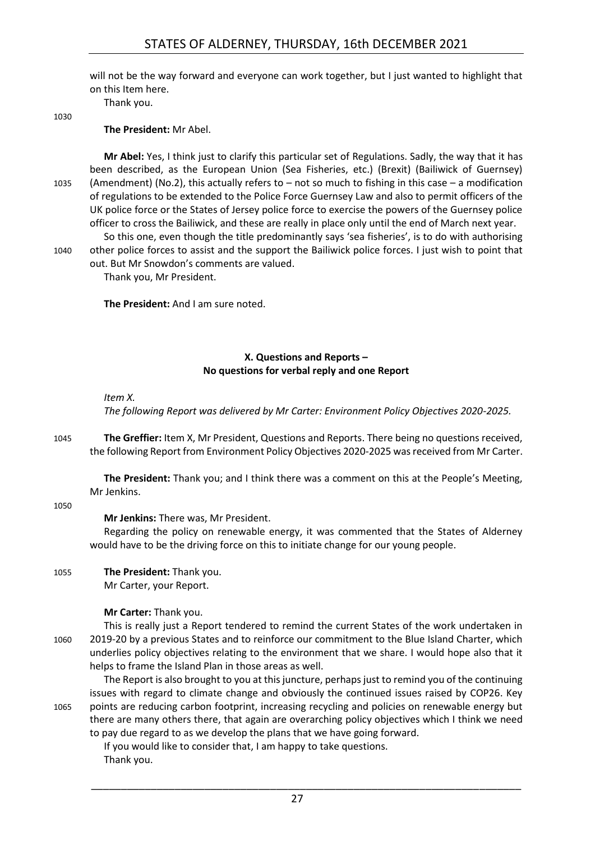will not be the way forward and everyone can work together, but I just wanted to highlight that on this Item here.

Thank you.

1030

#### **The President:** Mr Abel.

**Mr Abel:** Yes, I think just to clarify this particular set of Regulations. Sadly, the way that it has been described, as the European Union (Sea Fisheries, etc.) (Brexit) (Bailiwick of Guernsey) 1035 (Amendment) (No.2), this actually refers to – not so much to fishing in this case – a modification of regulations to be extended to the Police Force Guernsey Law and also to permit officers of the UK police force or the States of Jersey police force to exercise the powers of the Guernsey police officer to cross the Bailiwick, and these are really in place only until the end of March next year.

So this one, even though the title predominantly says 'sea fisheries', is to do with authorising 1040 other police forces to assist and the support the Bailiwick police forces. I just wish to point that out. But Mr Snowdon's comments are valued.

Thank you, Mr President.

**The President:** And I am sure noted.

#### **X. Questions and Reports – No questions for verbal reply and one Report**

#### <span id="page-26-0"></span>*Item X.*

*The following Report was delivered by Mr Carter: Environment Policy Objectives 2020-2025.*

1045 **The Greffier:** Item X, Mr President, Questions and Reports. There being no questions received, the following Report from Environment Policy Objectives 2020-2025 was received from Mr Carter.

**The President:** Thank you; and I think there was a comment on this at the People's Meeting, Mr Jenkins.

1050

**Mr Jenkins:** There was, Mr President.

Regarding the policy on renewable energy, it was commented that the States of Alderney would have to be the driving force on this to initiate change for our young people.

1055 **The President:** Thank you. Mr Carter, your Report.

### **Mr Carter:** Thank you.

This is really just a Report tendered to remind the current States of the work undertaken in 1060 2019-20 by a previous States and to reinforce our commitment to the Blue Island Charter, which underlies policy objectives relating to the environment that we share. I would hope also that it helps to frame the Island Plan in those areas as well.

The Report is also brought to you at this juncture, perhaps just to remind you of the continuing issues with regard to climate change and obviously the continued issues raised by COP26. Key 1065 points are reducing carbon footprint, increasing recycling and policies on renewable energy but there are many others there, that again are overarching policy objectives which I think we need to pay due regard to as we develop the plans that we have going forward.

If you would like to consider that, I am happy to take questions. Thank you.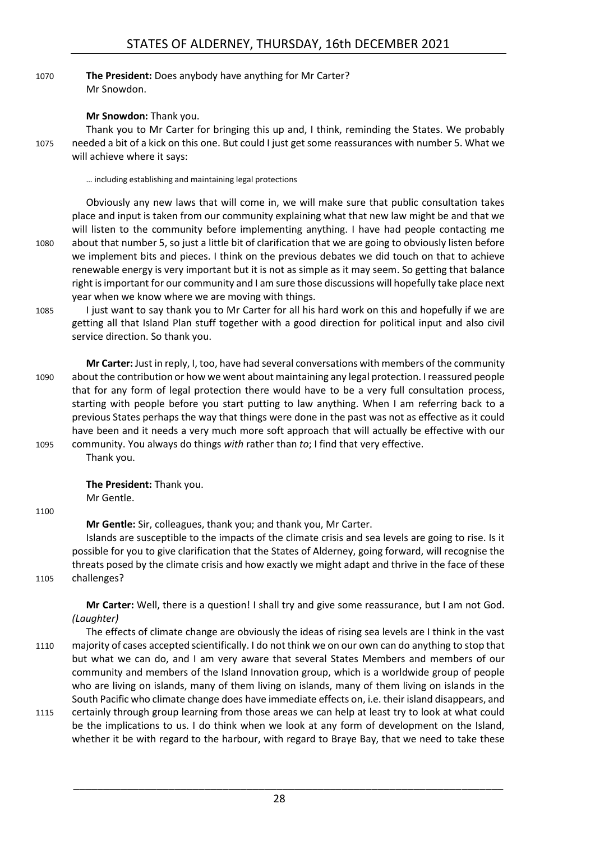1070 **The President:** Does anybody have anything for Mr Carter? Mr Snowdon.

#### **Mr Snowdon:** Thank you.

Thank you to Mr Carter for bringing this up and, I think, reminding the States. We probably 1075 needed a bit of a kick on this one. But could I just get some reassurances with number 5. What we will achieve where it says:

… including establishing and maintaining legal protections

Obviously any new laws that will come in, we will make sure that public consultation takes place and input is taken from our community explaining what that new law might be and that we will listen to the community before implementing anything. I have had people contacting me 1080 about that number 5, so just a little bit of clarification that we are going to obviously listen before we implement bits and pieces. I think on the previous debates we did touch on that to achieve renewable energy is very important but it is not as simple as it may seem. So getting that balance right is important for our community and I am sure those discussions will hopefully take place next year when we know where we are moving with things.

1085 I just want to say thank you to Mr Carter for all his hard work on this and hopefully if we are getting all that Island Plan stuff together with a good direction for political input and also civil service direction. So thank you.

**Mr Carter:** Just in reply, I, too, have had several conversations with members of the community 1090 about the contribution or how we went about maintaining any legal protection. I reassured people that for any form of legal protection there would have to be a very full consultation process, starting with people before you start putting to law anything. When I am referring back to a previous States perhaps the way that things were done in the past was not as effective as it could have been and it needs a very much more soft approach that will actually be effective with our 1095 community. You always do things *with* rather than *to*; I find that very effective. Thank you.

> **The President:** Thank you. Mr Gentle.

1100

**Mr Gentle:** Sir, colleagues, thank you; and thank you, Mr Carter.

Islands are susceptible to the impacts of the climate crisis and sea levels are going to rise. Is it possible for you to give clarification that the States of Alderney, going forward, will recognise the threats posed by the climate crisis and how exactly we might adapt and thrive in the face of these 1105 challenges?

**Mr Carter:** Well, there is a question! I shall try and give some reassurance, but I am not God. *(Laughter)*

- The effects of climate change are obviously the ideas of rising sea levels are I think in the vast 1110 majority of cases accepted scientifically. I do not think we on our own can do anything to stop that but what we can do, and I am very aware that several States Members and members of our community and members of the Island Innovation group, which is a worldwide group of people who are living on islands, many of them living on islands, many of them living on islands in the South Pacific who climate change does have immediate effects on, i.e. their island disappears, and
- 1115 certainly through group learning from those areas we can help at least try to look at what could be the implications to us. I do think when we look at any form of development on the Island, whether it be with regard to the harbour, with regard to Braye Bay, that we need to take these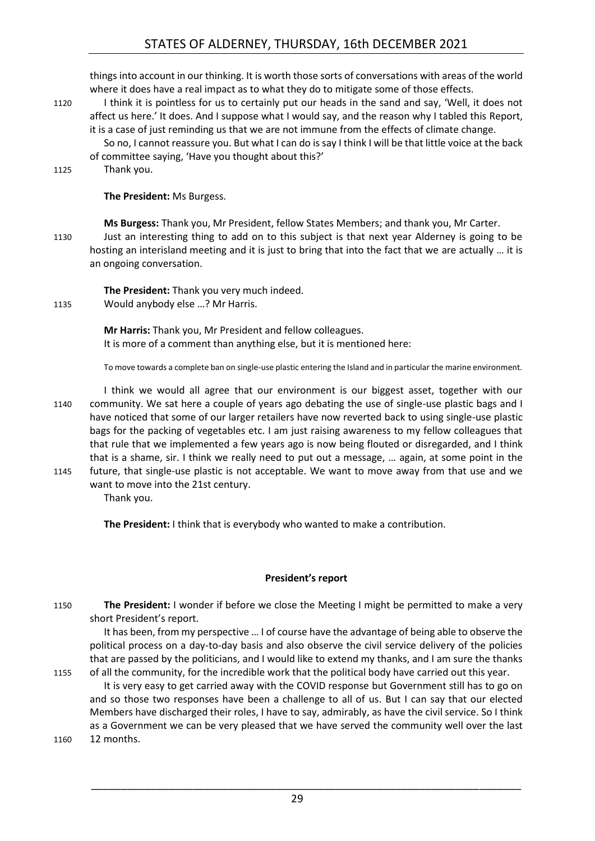#### STATES OF ALDERNEY, THURSDAY, 16th DECEMBER 2021

things into account in our thinking. It is worth those sorts of conversations with areas of the world where it does have a real impact as to what they do to mitigate some of those effects.

1120 I think it is pointless for us to certainly put our heads in the sand and say, 'Well, it does not affect us here.' It does. And I suppose what I would say, and the reason why I tabled this Report, it is a case of just reminding us that we are not immune from the effects of climate change. So no, I cannot reassure you. But what I can do is say I think I will be that little voice at the back of committee saying, 'Have you thought about this?'

1125 Thank you.

**The President:** Ms Burgess.

**Ms Burgess:** Thank you, Mr President, fellow States Members; and thank you, Mr Carter. 1130 Just an interesting thing to add on to this subject is that next year Alderney is going to be hosting an interisland meeting and it is just to bring that into the fact that we are actually … it is an ongoing conversation.

**The President:** Thank you very much indeed. 1135 Would anybody else …? Mr Harris.

> **Mr Harris:** Thank you, Mr President and fellow colleagues. It is more of a comment than anything else, but it is mentioned here:

To move towards a complete ban on single-use plastic entering the Island and in particular the marine environment.

I think we would all agree that our environment is our biggest asset, together with our 1140 community. We sat here a couple of years ago debating the use of single-use plastic bags and I have noticed that some of our larger retailers have now reverted back to using single-use plastic bags for the packing of vegetables etc. I am just raising awareness to my fellow colleagues that that rule that we implemented a few years ago is now being flouted or disregarded, and I think that is a shame, sir. I think we really need to put out a message, … again, at some point in the

1145 future, that single-use plastic is not acceptable. We want to move away from that use and we want to move into the 21st century. Thank you.

**The President:** I think that is everybody who wanted to make a contribution.

#### **President's report**

<span id="page-28-0"></span>1150 **The President:** I wonder if before we close the Meeting I might be permitted to make a very short President's report.

It has been, from my perspective … I of course have the advantage of being able to observe the political process on a day-to-day basis and also observe the civil service delivery of the policies that are passed by the politicians, and I would like to extend my thanks, and I am sure the thanks 1155 of all the community, for the incredible work that the political body have carried out this year.

It is very easy to get carried away with the COVID response but Government still has to go on and so those two responses have been a challenge to all of us. But I can say that our elected Members have discharged their roles, I have to say, admirably, as have the civil service. So I think as a Government we can be very pleased that we have served the community well over the last 1160 12 months.